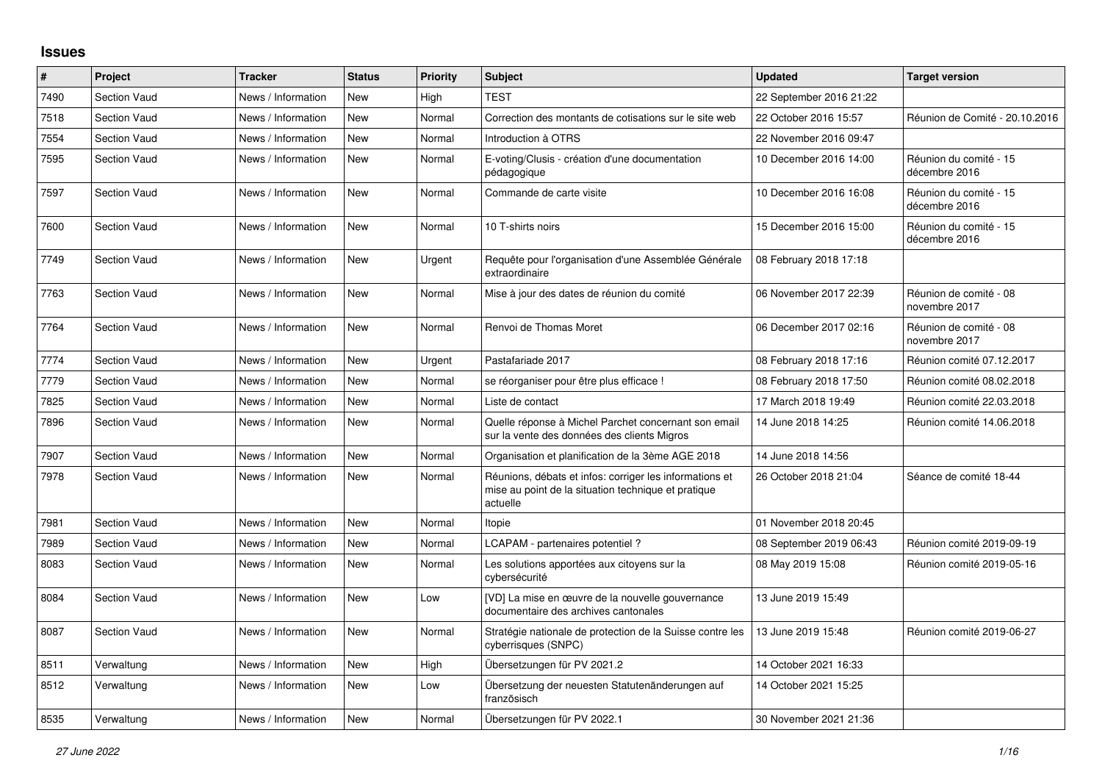## **Issues**

| #    | Project             | <b>Tracker</b>     | <b>Status</b> | Priority | <b>Subject</b>                                                                                                             | <b>Updated</b>          | <b>Target version</b>                   |
|------|---------------------|--------------------|---------------|----------|----------------------------------------------------------------------------------------------------------------------------|-------------------------|-----------------------------------------|
| 7490 | <b>Section Vaud</b> | News / Information | New           | High     | <b>TEST</b>                                                                                                                | 22 September 2016 21:22 |                                         |
| 7518 | <b>Section Vaud</b> | News / Information | <b>New</b>    | Normal   | Correction des montants de cotisations sur le site web                                                                     | 22 October 2016 15:57   | Réunion de Comité - 20.10.2016          |
| 7554 | <b>Section Vaud</b> | News / Information | New           | Normal   | Introduction à OTRS                                                                                                        | 22 November 2016 09:47  |                                         |
| 7595 | <b>Section Vaud</b> | News / Information | New           | Normal   | E-voting/Clusis - création d'une documentation<br>pédagogique                                                              | 10 December 2016 14:00  | Réunion du comité - 15<br>décembre 2016 |
| 7597 | <b>Section Vaud</b> | News / Information | <b>New</b>    | Normal   | Commande de carte visite                                                                                                   | 10 December 2016 16:08  | Réunion du comité - 15<br>décembre 2016 |
| 7600 | <b>Section Vaud</b> | News / Information | New           | Normal   | 10 T-shirts noirs                                                                                                          | 15 December 2016 15:00  | Réunion du comité - 15<br>décembre 2016 |
| 7749 | <b>Section Vaud</b> | News / Information | <b>New</b>    | Urgent   | Requête pour l'organisation d'une Assemblée Générale<br>extraordinaire                                                     | 08 February 2018 17:18  |                                         |
| 7763 | <b>Section Vaud</b> | News / Information | New           | Normal   | Mise à jour des dates de réunion du comité                                                                                 | 06 November 2017 22:39  | Réunion de comité - 08<br>novembre 2017 |
| 7764 | <b>Section Vaud</b> | News / Information | <b>New</b>    | Normal   | Renvoi de Thomas Moret                                                                                                     | 06 December 2017 02:16  | Réunion de comité - 08<br>novembre 2017 |
| 7774 | <b>Section Vaud</b> | News / Information | New           | Urgent   | Pastafariade 2017                                                                                                          | 08 February 2018 17:16  | Réunion comité 07.12.2017               |
| 7779 | <b>Section Vaud</b> | News / Information | New           | Normal   | se réorganiser pour être plus efficace !                                                                                   | 08 February 2018 17:50  | Réunion comité 08.02.2018               |
| 7825 | <b>Section Vaud</b> | News / Information | New           | Normal   | Liste de contact                                                                                                           | 17 March 2018 19:49     | Réunion comité 22.03.2018               |
| 7896 | <b>Section Vaud</b> | News / Information | New           | Normal   | Quelle réponse à Michel Parchet concernant son email<br>sur la vente des données des clients Migros                        | 14 June 2018 14:25      | Réunion comité 14.06.2018               |
| 7907 | <b>Section Vaud</b> | News / Information | <b>New</b>    | Normal   | Organisation et planification de la 3ème AGE 2018                                                                          | 14 June 2018 14:56      |                                         |
| 7978 | <b>Section Vaud</b> | News / Information | New           | Normal   | Réunions, débats et infos: corriger les informations et<br>mise au point de la situation technique et pratique<br>actuelle | 26 October 2018 21:04   | Séance de comité 18-44                  |
| 7981 | <b>Section Vaud</b> | News / Information | <b>New</b>    | Normal   | Itopie                                                                                                                     | 01 November 2018 20:45  |                                         |
| 7989 | <b>Section Vaud</b> | News / Information | <b>New</b>    | Normal   | LCAPAM - partenaires potentiel?                                                                                            | 08 September 2019 06:43 | Réunion comité 2019-09-19               |
| 8083 | <b>Section Vaud</b> | News / Information | New           | Normal   | Les solutions apportées aux citoyens sur la<br>cybersécurité                                                               | 08 May 2019 15:08       | Réunion comité 2019-05-16               |
| 8084 | <b>Section Vaud</b> | News / Information | <b>New</b>    | Low      | [VD] La mise en œuvre de la nouvelle gouvernance<br>documentaire des archives cantonales                                   | 13 June 2019 15:49      |                                         |
| 8087 | <b>Section Vaud</b> | News / Information | New           | Normal   | Stratégie nationale de protection de la Suisse contre les<br>cyberrisques (SNPC)                                           | 13 June 2019 15:48      | Réunion comité 2019-06-27               |
| 8511 | Verwaltung          | News / Information | <b>New</b>    | High     | Übersetzungen für PV 2021.2                                                                                                | 14 October 2021 16:33   |                                         |
| 8512 | Verwaltung          | News / Information | New           | Low      | Übersetzung der neuesten Statutenänderungen auf<br>französisch                                                             | 14 October 2021 15:25   |                                         |
| 8535 | Verwaltung          | News / Information | New           | Normal   | Übersetzungen für PV 2022.1                                                                                                | 30 November 2021 21:36  |                                         |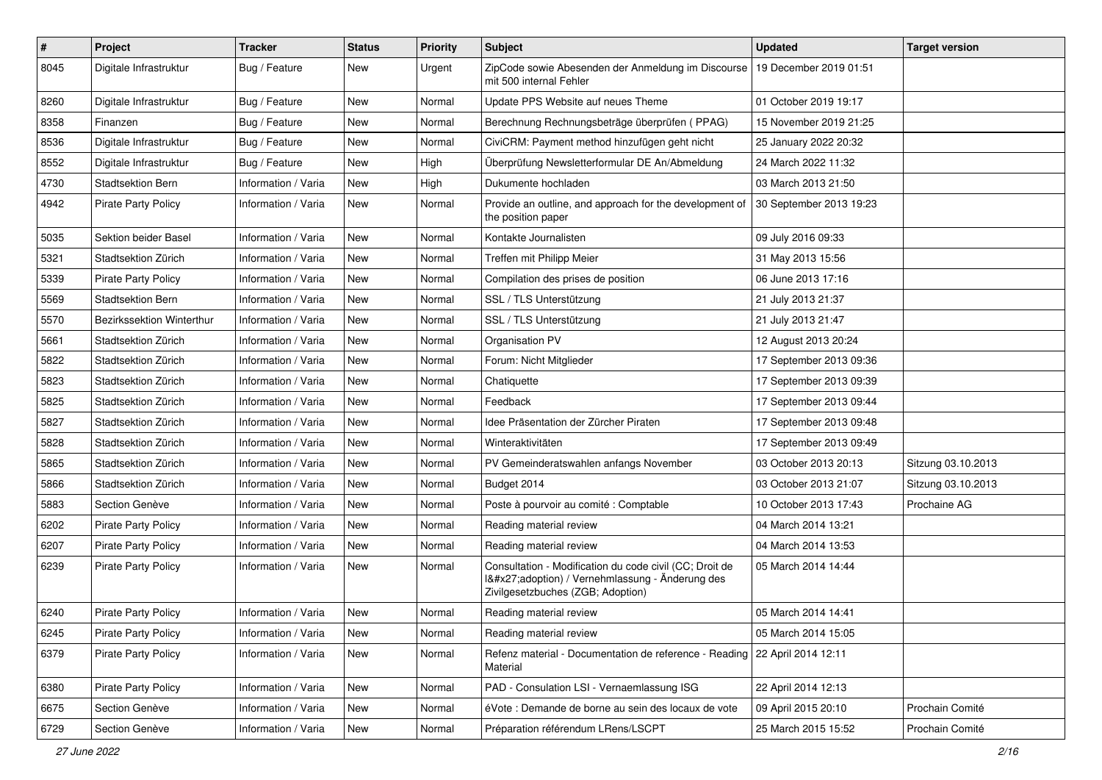| $\pmb{\#}$ | <b>Project</b>             | <b>Tracker</b>      | <b>Status</b> | <b>Priority</b> | <b>Subject</b>                                                                                                                              | <b>Updated</b>          | <b>Target version</b> |
|------------|----------------------------|---------------------|---------------|-----------------|---------------------------------------------------------------------------------------------------------------------------------------------|-------------------------|-----------------------|
| 8045       | Digitale Infrastruktur     | Bug / Feature       | New           | Urgent          | ZipCode sowie Abesenden der Anmeldung im Discourse<br>mit 500 internal Fehler                                                               | 19 December 2019 01:51  |                       |
| 8260       | Digitale Infrastruktur     | Bug / Feature       | New           | Normal          | Update PPS Website auf neues Theme                                                                                                          | 01 October 2019 19:17   |                       |
| 8358       | Finanzen                   | Bug / Feature       | New           | Normal          | Berechnung Rechnungsbeträge überprüfen (PPAG)                                                                                               | 15 November 2019 21:25  |                       |
| 8536       | Digitale Infrastruktur     | Bug / Feature       | <b>New</b>    | Normal          | CiviCRM: Payment method hinzufügen geht nicht                                                                                               | 25 January 2022 20:32   |                       |
| 8552       | Digitale Infrastruktur     | Bug / Feature       | New           | High            | Überprüfung Newsletterformular DE An/Abmeldung                                                                                              | 24 March 2022 11:32     |                       |
| 4730       | <b>Stadtsektion Bern</b>   | Information / Varia | <b>New</b>    | High            | Dukumente hochladen                                                                                                                         | 03 March 2013 21:50     |                       |
| 4942       | <b>Pirate Party Policy</b> | Information / Varia | <b>New</b>    | Normal          | Provide an outline, and approach for the development of<br>the position paper                                                               | 30 September 2013 19:23 |                       |
| 5035       | Sektion beider Basel       | Information / Varia | <b>New</b>    | Normal          | Kontakte Journalisten                                                                                                                       | 09 July 2016 09:33      |                       |
| 5321       | Stadtsektion Zürich        | Information / Varia | New           | Normal          | Treffen mit Philipp Meier                                                                                                                   | 31 May 2013 15:56       |                       |
| 5339       | <b>Pirate Party Policy</b> | Information / Varia | <b>New</b>    | Normal          | Compilation des prises de position                                                                                                          | 06 June 2013 17:16      |                       |
| 5569       | Stadtsektion Bern          | Information / Varia | <b>New</b>    | Normal          | SSL / TLS Unterstützung                                                                                                                     | 21 July 2013 21:37      |                       |
| 5570       | Bezirkssektion Winterthur  | Information / Varia | New           | Normal          | SSL / TLS Unterstützung                                                                                                                     | 21 July 2013 21:47      |                       |
| 5661       | Stadtsektion Zürich        | Information / Varia | <b>New</b>    | Normal          | Organisation PV                                                                                                                             | 12 August 2013 20:24    |                       |
| 5822       | Stadtsektion Zürich        | Information / Varia | <b>New</b>    | Normal          | Forum: Nicht Mitglieder                                                                                                                     | 17 September 2013 09:36 |                       |
| 5823       | Stadtsektion Zürich        | Information / Varia | New           | Normal          | Chatiquette                                                                                                                                 | 17 September 2013 09:39 |                       |
| 5825       | Stadtsektion Zürich        | Information / Varia | <b>New</b>    | Normal          | Feedback                                                                                                                                    | 17 September 2013 09:44 |                       |
| 5827       | Stadtsektion Zürich        | Information / Varia | New           | Normal          | Idee Präsentation der Zürcher Piraten                                                                                                       | 17 September 2013 09:48 |                       |
| 5828       | Stadtsektion Zürich        | Information / Varia | <b>New</b>    | Normal          | Winteraktivitäten                                                                                                                           | 17 September 2013 09:49 |                       |
| 5865       | Stadtsektion Zürich        | Information / Varia | <b>New</b>    | Normal          | PV Gemeinderatswahlen anfangs November                                                                                                      | 03 October 2013 20:13   | Sitzung 03.10.2013    |
| 5866       | Stadtsektion Zürich        | Information / Varia | New           | Normal          | Budget 2014                                                                                                                                 | 03 October 2013 21:07   | Sitzung 03.10.2013    |
| 5883       | Section Genève             | Information / Varia | <b>New</b>    | Normal          | Poste à pourvoir au comité : Comptable                                                                                                      | 10 October 2013 17:43   | Prochaine AG          |
| 6202       | <b>Pirate Party Policy</b> | Information / Varia | New           | Normal          | Reading material review                                                                                                                     | 04 March 2014 13:21     |                       |
| 6207       | <b>Pirate Party Policy</b> | Information / Varia | New           | Normal          | Reading material review                                                                                                                     | 04 March 2014 13:53     |                       |
| 6239       | Pirate Party Policy        | Information / Varia | <b>New</b>    | Normal          | Consultation - Modification du code civil (CC; Droit de<br>1'adoption) / Vernehmlassung - Änderung des<br>Zivilgesetzbuches (ZGB; Adoption) | 05 March 2014 14:44     |                       |
| 6240       | <b>Pirate Party Policy</b> | Information / Varia | <b>New</b>    | Normal          | Reading material review                                                                                                                     | 05 March 2014 14:41     |                       |
| 6245       | Pirate Party Policy        | Information / Varia | New           | Normal          | Reading material review                                                                                                                     | 05 March 2014 15:05     |                       |
| 6379       | <b>Pirate Party Policy</b> | Information / Varia | New           | Normal          | Refenz material - Documentation de reference - Reading   22 April 2014 12:11<br>Material                                                    |                         |                       |
| 6380       | Pirate Party Policy        | Information / Varia | <b>New</b>    | Normal          | PAD - Consulation LSI - Vernaemlassung ISG                                                                                                  | 22 April 2014 12:13     |                       |
| 6675       | Section Genève             | Information / Varia | New           | Normal          | éVote : Demande de borne au sein des locaux de vote                                                                                         | 09 April 2015 20:10     | Prochain Comité       |
| 6729       | Section Genève             | Information / Varia | New           | Normal          | Préparation référendum LRens/LSCPT                                                                                                          | 25 March 2015 15:52     | Prochain Comité       |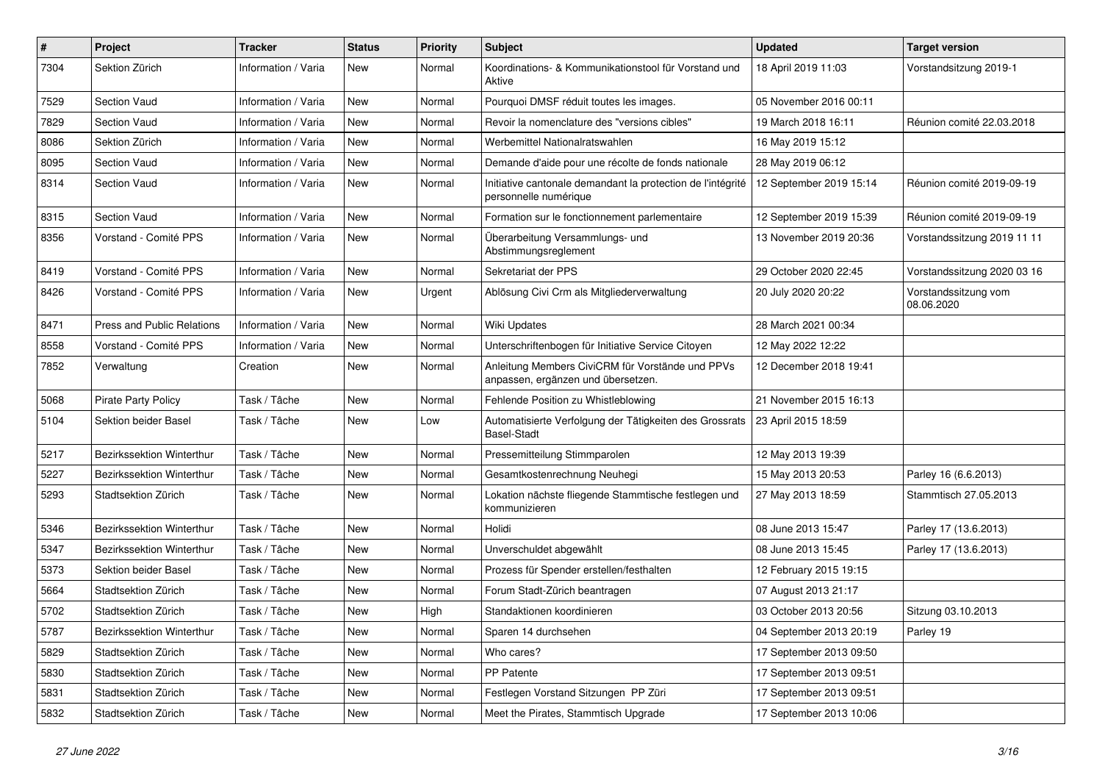| #    | Project                    | <b>Tracker</b>      | <b>Status</b> | <b>Priority</b> | Subject                                                                                | <b>Updated</b>          | <b>Target version</b>              |
|------|----------------------------|---------------------|---------------|-----------------|----------------------------------------------------------------------------------------|-------------------------|------------------------------------|
| 7304 | Sektion Zürich             | Information / Varia | New           | Normal          | Koordinations- & Kommunikationstool für Vorstand und<br>Aktive                         | 18 April 2019 11:03     | Vorstandsitzung 2019-1             |
| 7529 | <b>Section Vaud</b>        | Information / Varia | New           | Normal          | Pourquoi DMSF réduit toutes les images.                                                | 05 November 2016 00:11  |                                    |
| 7829 | <b>Section Vaud</b>        | Information / Varia | New           | Normal          | Revoir la nomenclature des "versions cibles"                                           | 19 March 2018 16:11     | Réunion comité 22.03.2018          |
| 8086 | Sektion Zürich             | Information / Varia | New           | Normal          | Werbemittel Nationalratswahlen                                                         | 16 May 2019 15:12       |                                    |
| 8095 | <b>Section Vaud</b>        | Information / Varia | <b>New</b>    | Normal          | Demande d'aide pour une récolte de fonds nationale                                     | 28 May 2019 06:12       |                                    |
| 8314 | <b>Section Vaud</b>        | Information / Varia | New           | Normal          | Initiative cantonale demandant la protection de l'intégrité<br>personnelle numérique   | 12 September 2019 15:14 | Réunion comité 2019-09-19          |
| 8315 | Section Vaud               | Information / Varia | New           | Normal          | Formation sur le fonctionnement parlementaire                                          | 12 September 2019 15:39 | Réunion comité 2019-09-19          |
| 8356 | Vorstand - Comité PPS      | Information / Varia | New           | Normal          | Überarbeitung Versammlungs- und<br>Abstimmungsreglement                                | 13 November 2019 20:36  | Vorstandssitzung 2019 11 11        |
| 8419 | Vorstand - Comité PPS      | Information / Varia | <b>New</b>    | Normal          | Sekretariat der PPS                                                                    | 29 October 2020 22:45   | Vorstandssitzung 2020 03 16        |
| 8426 | Vorstand - Comité PPS      | Information / Varia | <b>New</b>    | Urgent          | Ablösung Civi Crm als Mitgliederverwaltung                                             | 20 July 2020 20:22      | Vorstandssitzung vom<br>08.06.2020 |
| 8471 | Press and Public Relations | Information / Varia | <b>New</b>    | Normal          | Wiki Updates                                                                           | 28 March 2021 00:34     |                                    |
| 8558 | Vorstand - Comité PPS      | Information / Varia | New           | Normal          | Unterschriftenbogen für Initiative Service Citoyen                                     | 12 May 2022 12:22       |                                    |
| 7852 | Verwaltung                 | Creation            | New           | Normal          | Anleitung Members CiviCRM für Vorstände und PPVs<br>anpassen, ergänzen und übersetzen. | 12 December 2018 19:41  |                                    |
| 5068 | <b>Pirate Party Policy</b> | Task / Tâche        | <b>New</b>    | Normal          | Fehlende Position zu Whistleblowing                                                    | 21 November 2015 16:13  |                                    |
| 5104 | Sektion beider Basel       | Task / Tâche        | New           | Low             | Automatisierte Verfolgung der Tätigkeiten des Grossrats<br><b>Basel-Stadt</b>          | 23 April 2015 18:59     |                                    |
| 5217 | Bezirkssektion Winterthur  | Task / Tâche        | New           | Normal          | Pressemitteilung Stimmparolen                                                          | 12 May 2013 19:39       |                                    |
| 5227 | Bezirkssektion Winterthur  | Task / Tâche        | New           | Normal          | Gesamtkostenrechnung Neuhegi                                                           | 15 May 2013 20:53       | Parley 16 (6.6.2013)               |
| 5293 | Stadtsektion Zürich        | Task / Tâche        | New           | Normal          | Lokation nächste fliegende Stammtische festlegen und<br>kommunizieren                  | 27 May 2013 18:59       | Stammtisch 27.05.2013              |
| 5346 | Bezirkssektion Winterthur  | Task / Tâche        | New           | Normal          | Holidi                                                                                 | 08 June 2013 15:47      | Parley 17 (13.6.2013)              |
| 5347 | Bezirkssektion Winterthur  | Task / Tâche        | New           | Normal          | Unverschuldet abgewählt                                                                | 08 June 2013 15:45      | Parley 17 (13.6.2013)              |
| 5373 | Sektion beider Basel       | Task / Tâche        | New           | Normal          | Prozess für Spender erstellen/festhalten                                               | 12 February 2015 19:15  |                                    |
| 5664 | Stadtsektion Zürich        | Task / Tâche        | New           | Normal          | Forum Stadt-Zürich beantragen                                                          | 07 August 2013 21:17    |                                    |
| 5702 | Stadtsektion Zürich        | Task / Tâche        | New           | High            | Standaktionen koordinieren                                                             | 03 October 2013 20:56   | Sitzung 03.10.2013                 |
| 5787 | Bezirkssektion Winterthur  | Task / Tâche        | New           | Normal          | Sparen 14 durchsehen                                                                   | 04 September 2013 20:19 | Parley 19                          |
| 5829 | Stadtsektion Zürich        | Task / Tâche        | New           | Normal          | Who cares?                                                                             | 17 September 2013 09:50 |                                    |
| 5830 | Stadtsektion Zürich        | Task / Tâche        | New           | Normal          | PP Patente                                                                             | 17 September 2013 09:51 |                                    |
| 5831 | Stadtsektion Zürich        | Task / Tâche        | New           | Normal          | Festlegen Vorstand Sitzungen PP Züri                                                   | 17 September 2013 09:51 |                                    |
| 5832 | Stadtsektion Zürich        | Task / Tâche        | New           | Normal          | Meet the Pirates, Stammtisch Upgrade                                                   | 17 September 2013 10:06 |                                    |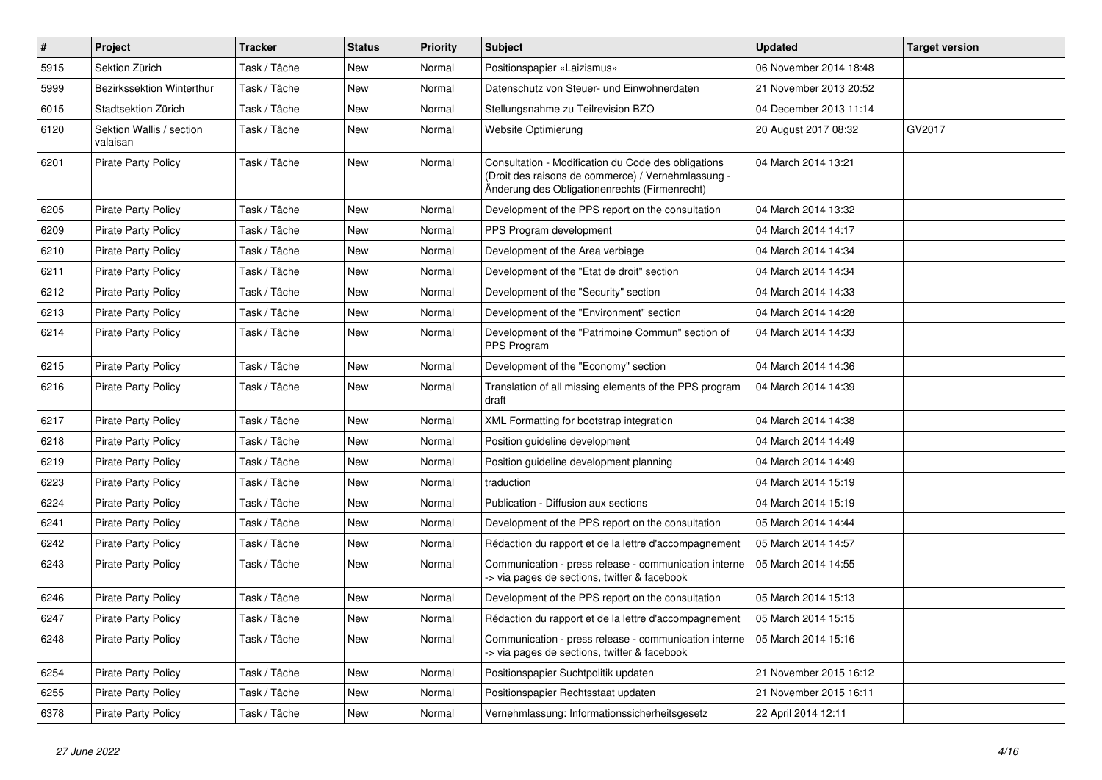| $\sharp$ | Project                              | <b>Tracker</b> | <b>Status</b> | <b>Priority</b> | Subject                                                                                                                                                    | <b>Updated</b>         | <b>Target version</b> |
|----------|--------------------------------------|----------------|---------------|-----------------|------------------------------------------------------------------------------------------------------------------------------------------------------------|------------------------|-----------------------|
| 5915     | Sektion Zürich                       | Task / Tâche   | New           | Normal          | Positionspapier «Laizismus»                                                                                                                                | 06 November 2014 18:48 |                       |
| 5999     | Bezirkssektion Winterthur            | Task / Tâche   | <b>New</b>    | Normal          | Datenschutz von Steuer- und Einwohnerdaten                                                                                                                 | 21 November 2013 20:52 |                       |
| 6015     | Stadtsektion Zürich                  | Task / Tâche   | New           | Normal          | Stellungsnahme zu Teilrevision BZO                                                                                                                         | 04 December 2013 11:14 |                       |
| 6120     | Sektion Wallis / section<br>valaisan | Task / Tâche   | New           | Normal          | Website Optimierung                                                                                                                                        | 20 August 2017 08:32   | GV2017                |
| 6201     | <b>Pirate Party Policy</b>           | Task / Tâche   | New           | Normal          | Consultation - Modification du Code des obligations<br>(Droit des raisons de commerce) / Vernehmlassung -<br>Änderung des Obligationenrechts (Firmenrecht) | 04 March 2014 13:21    |                       |
| 6205     | <b>Pirate Party Policy</b>           | Task / Tâche   | New           | Normal          | Development of the PPS report on the consultation                                                                                                          | 04 March 2014 13:32    |                       |
| 6209     | Pirate Party Policy                  | Task / Tâche   | <b>New</b>    | Normal          | PPS Program development                                                                                                                                    | 04 March 2014 14:17    |                       |
| 6210     | <b>Pirate Party Policy</b>           | Task / Tâche   | New           | Normal          | Development of the Area verbiage                                                                                                                           | 04 March 2014 14:34    |                       |
| 6211     | <b>Pirate Party Policy</b>           | Task / Tâche   | New           | Normal          | Development of the "Etat de droit" section                                                                                                                 | 04 March 2014 14:34    |                       |
| 6212     | <b>Pirate Party Policy</b>           | Task / Tâche   | <b>New</b>    | Normal          | Development of the "Security" section                                                                                                                      | 04 March 2014 14:33    |                       |
| 6213     | <b>Pirate Party Policy</b>           | Task / Tâche   | New           | Normal          | Development of the "Environment" section                                                                                                                   | 04 March 2014 14:28    |                       |
| 6214     | <b>Pirate Party Policy</b>           | Task / Tâche   | New           | Normal          | Development of the "Patrimoine Commun" section of<br>PPS Program                                                                                           | 04 March 2014 14:33    |                       |
| 6215     | <b>Pirate Party Policy</b>           | Task / Tâche   | New           | Normal          | Development of the "Economy" section                                                                                                                       | 04 March 2014 14:36    |                       |
| 6216     | <b>Pirate Party Policy</b>           | Task / Tâche   | New           | Normal          | Translation of all missing elements of the PPS program<br>draft                                                                                            | 04 March 2014 14:39    |                       |
| 6217     | <b>Pirate Party Policy</b>           | Task / Tâche   | New           | Normal          | XML Formatting for bootstrap integration                                                                                                                   | 04 March 2014 14:38    |                       |
| 6218     | <b>Pirate Party Policy</b>           | Task / Tâche   | New           | Normal          | Position guideline development                                                                                                                             | 04 March 2014 14:49    |                       |
| 6219     | <b>Pirate Party Policy</b>           | Task / Tâche   | New           | Normal          | Position guideline development planning                                                                                                                    | 04 March 2014 14:49    |                       |
| 6223     | <b>Pirate Party Policy</b>           | Task / Tâche   | New           | Normal          | traduction                                                                                                                                                 | 04 March 2014 15:19    |                       |
| 6224     | <b>Pirate Party Policy</b>           | Task / Tâche   | New           | Normal          | Publication - Diffusion aux sections                                                                                                                       | 04 March 2014 15:19    |                       |
| 6241     | <b>Pirate Party Policy</b>           | Task / Tâche   | New           | Normal          | Development of the PPS report on the consultation                                                                                                          | 05 March 2014 14:44    |                       |
| 6242     | <b>Pirate Party Policy</b>           | Task / Tâche   | New           | Normal          | Rédaction du rapport et de la lettre d'accompagnement                                                                                                      | 05 March 2014 14:57    |                       |
| 6243     | <b>Pirate Party Policy</b>           | Task / Tâche   | New           | Normal          | Communication - press release - communication interne<br>-> via pages de sections, twitter & facebook                                                      | 05 March 2014 14:55    |                       |
| 6246     | <b>Pirate Party Policy</b>           | Task / Tâche   | New           | Normal          | Development of the PPS report on the consultation                                                                                                          | 05 March 2014 15:13    |                       |
| 6247     | <b>Pirate Party Policy</b>           | Task / Tâche   | New           | Normal          | Rédaction du rapport et de la lettre d'accompagnement                                                                                                      | 05 March 2014 15:15    |                       |
| 6248     | <b>Pirate Party Policy</b>           | Task / Tâche   | New           | Normal          | Communication - press release - communication interne<br>-> via pages de sections, twitter & facebook                                                      | 05 March 2014 15:16    |                       |
| 6254     | <b>Pirate Party Policy</b>           | Task / Tâche   | New           | Normal          | Positionspapier Suchtpolitik updaten                                                                                                                       | 21 November 2015 16:12 |                       |
| 6255     | <b>Pirate Party Policy</b>           | Task / Tâche   | New           | Normal          | Positionspapier Rechtsstaat updaten                                                                                                                        | 21 November 2015 16:11 |                       |
| 6378     | <b>Pirate Party Policy</b>           | Task / Tâche   | New           | Normal          | Vernehmlassung: Informationssicherheitsgesetz                                                                                                              | 22 April 2014 12:11    |                       |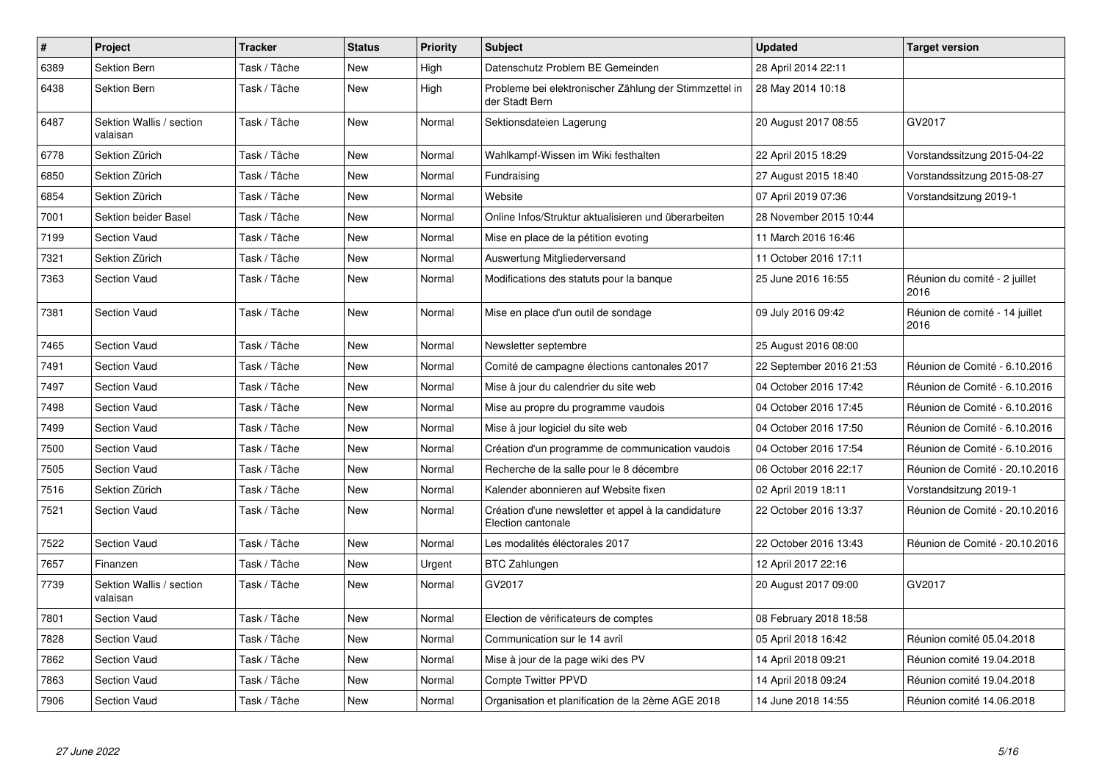| $\vert$ # | Project                              | <b>Tracker</b> | <b>Status</b> | <b>Priority</b> | <b>Subject</b>                                                            | Updated                 | <b>Target version</b>                  |
|-----------|--------------------------------------|----------------|---------------|-----------------|---------------------------------------------------------------------------|-------------------------|----------------------------------------|
| 6389      | Sektion Bern                         | Task / Tâche   | New           | High            | Datenschutz Problem BE Gemeinden                                          | 28 April 2014 22:11     |                                        |
| 6438      | Sektion Bern                         | Task / Tâche   | New           | High            | Probleme bei elektronischer Zählung der Stimmzettel in<br>der Stadt Bern  | 28 May 2014 10:18       |                                        |
| 6487      | Sektion Wallis / section<br>valaisan | Task / Tâche   | New           | Normal          | Sektionsdateien Lagerung                                                  | 20 August 2017 08:55    | GV2017                                 |
| 6778      | Sektion Zürich                       | Task / Tâche   | New           | Normal          | Wahlkampf-Wissen im Wiki festhalten                                       | 22 April 2015 18:29     | Vorstandssitzung 2015-04-22            |
| 6850      | Sektion Zürich                       | Task / Tâche   | New           | Normal          | Fundraising                                                               | 27 August 2015 18:40    | Vorstandssitzung 2015-08-27            |
| 6854      | Sektion Zürich                       | Task / Tâche   | New           | Normal          | Website                                                                   | 07 April 2019 07:36     | Vorstandsitzung 2019-1                 |
| 7001      | Sektion beider Basel                 | Task / Tâche   | New           | Normal          | Online Infos/Struktur aktualisieren und überarbeiten                      | 28 November 2015 10:44  |                                        |
| 7199      | <b>Section Vaud</b>                  | Task / Tâche   | New           | Normal          | Mise en place de la pétition evoting                                      | 11 March 2016 16:46     |                                        |
| 7321      | Sektion Zürich                       | Task / Tâche   | New           | Normal          | Auswertung Mitgliederversand                                              | 11 October 2016 17:11   |                                        |
| 7363      | <b>Section Vaud</b>                  | Task / Tâche   | New           | Normal          | Modifications des statuts pour la banque                                  | 25 June 2016 16:55      | Réunion du comité - 2 juillet<br>2016  |
| 7381      | Section Vaud                         | Task / Tâche   | <b>New</b>    | Normal          | Mise en place d'un outil de sondage                                       | 09 July 2016 09:42      | Réunion de comité - 14 juillet<br>2016 |
| 7465      | <b>Section Vaud</b>                  | Task / Tâche   | <b>New</b>    | Normal          | Newsletter septembre                                                      | 25 August 2016 08:00    |                                        |
| 7491      | Section Vaud                         | Task / Tâche   | <b>New</b>    | Normal          | Comité de campagne élections cantonales 2017                              | 22 September 2016 21:53 | Réunion de Comité - 6.10.2016          |
| 7497      | <b>Section Vaud</b>                  | Task / Tâche   | New           | Normal          | Mise à jour du calendrier du site web                                     | 04 October 2016 17:42   | Réunion de Comité - 6.10.2016          |
| 7498      | <b>Section Vaud</b>                  | Task / Tâche   | New           | Normal          | Mise au propre du programme vaudois                                       | 04 October 2016 17:45   | Réunion de Comité - 6.10.2016          |
| 7499      | <b>Section Vaud</b>                  | Task / Tâche   | New           | Normal          | Mise à jour logiciel du site web                                          | 04 October 2016 17:50   | Réunion de Comité - 6.10.2016          |
| 7500      | <b>Section Vaud</b>                  | Task / Tâche   | New           | Normal          | Création d'un programme de communication vaudois                          | 04 October 2016 17:54   | Réunion de Comité - 6.10.2016          |
| 7505      | <b>Section Vaud</b>                  | Task / Tâche   | New           | Normal          | Recherche de la salle pour le 8 décembre                                  | 06 October 2016 22:17   | Réunion de Comité - 20.10.2016         |
| 7516      | Sektion Zürich                       | Task / Tâche   | New           | Normal          | Kalender abonnieren auf Website fixen                                     | 02 April 2019 18:11     | Vorstandsitzung 2019-1                 |
| 7521      | <b>Section Vaud</b>                  | Task / Tâche   | New           | Normal          | Création d'une newsletter et appel à la candidature<br>Election cantonale | 22 October 2016 13:37   | Réunion de Comité - 20.10.2016         |
| 7522      | Section Vaud                         | Task / Tâche   | New           | Normal          | Les modalités éléctorales 2017                                            | 22 October 2016 13:43   | Réunion de Comité - 20.10.2016         |
| 7657      | Finanzen                             | Task / Tâche   | New           | Urgent          | <b>BTC Zahlungen</b>                                                      | 12 April 2017 22:16     |                                        |
| 7739      | Sektion Wallis / section<br>valaisan | Task / Tâche   | <b>New</b>    | Normal          | GV2017                                                                    | 20 August 2017 09:00    | GV2017                                 |
| 7801      | Section Vaud                         | Task / Tâche   | New           | Normal          | Election de vérificateurs de comptes                                      | 08 February 2018 18:58  |                                        |
| 7828      | <b>Section Vaud</b>                  | Task / Tâche   | <b>New</b>    | Normal          | Communication sur le 14 avril                                             | 05 April 2018 16:42     | Réunion comité 05.04.2018              |
| 7862      | <b>Section Vaud</b>                  | Task / Tâche   | New           | Normal          | Mise à jour de la page wiki des PV                                        | 14 April 2018 09:21     | Réunion comité 19.04.2018              |
| 7863      | <b>Section Vaud</b>                  | Task / Tâche   | New           | Normal          | <b>Compte Twitter PPVD</b>                                                | 14 April 2018 09:24     | Réunion comité 19.04.2018              |
| 7906      | <b>Section Vaud</b>                  | Task / Tâche   | New           | Normal          | Organisation et planification de la 2ème AGE 2018                         | 14 June 2018 14:55      | Réunion comité 14.06.2018              |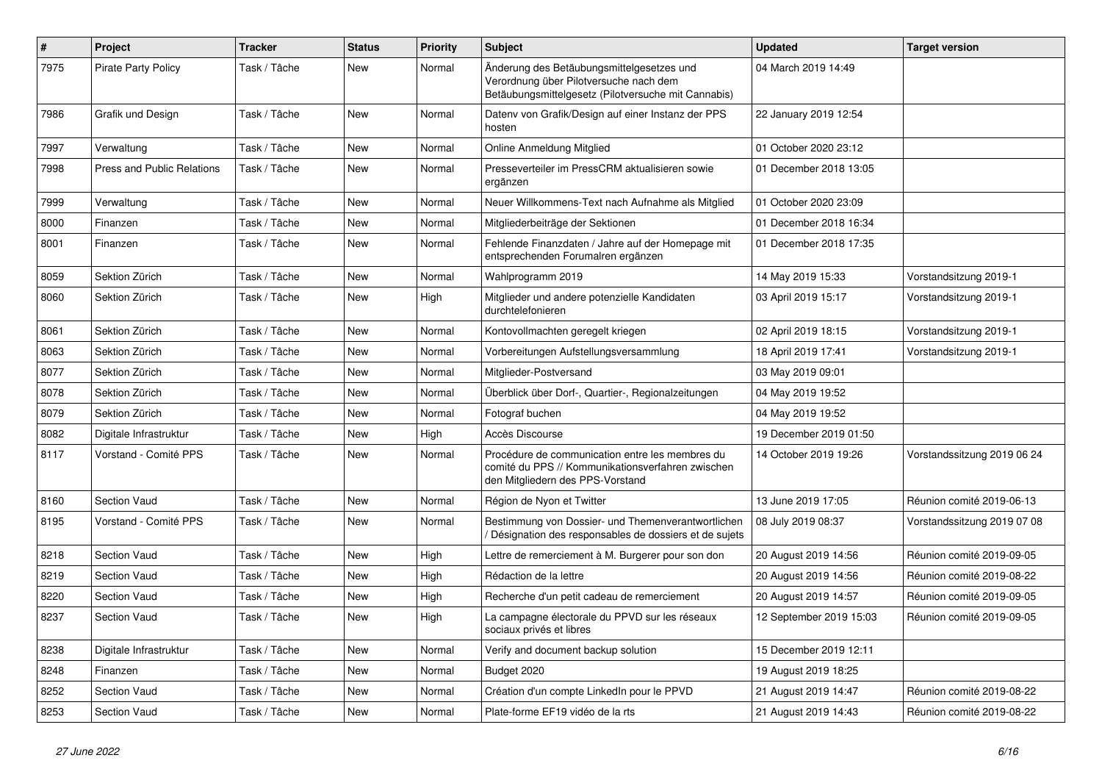| $\sharp$ | Project                           | <b>Tracker</b> | <b>Status</b> | <b>Priority</b> | <b>Subject</b>                                                                                                                             | <b>Updated</b>          | <b>Target version</b>       |
|----------|-----------------------------------|----------------|---------------|-----------------|--------------------------------------------------------------------------------------------------------------------------------------------|-------------------------|-----------------------------|
| 7975     | <b>Pirate Party Policy</b>        | Task / Tâche   | <b>New</b>    | Normal          | Änderung des Betäubungsmittelgesetzes und<br>Verordnung über Pilotversuche nach dem<br>Betäubungsmittelgesetz (Pilotversuche mit Cannabis) | 04 March 2019 14:49     |                             |
| 7986     | Grafik und Design                 | Task / Tâche   | New           | Normal          | Datenv von Grafik/Design auf einer Instanz der PPS<br>hosten                                                                               | 22 January 2019 12:54   |                             |
| 7997     | Verwaltung                        | Task / Tâche   | New           | Normal          | Online Anmeldung Mitglied                                                                                                                  | 01 October 2020 23:12   |                             |
| 7998     | <b>Press and Public Relations</b> | Task / Tâche   | <b>New</b>    | Normal          | Presseverteiler im PressCRM aktualisieren sowie<br>ergänzen                                                                                | 01 December 2018 13:05  |                             |
| 7999     | Verwaltung                        | Task / Tâche   | New           | Normal          | Neuer Willkommens-Text nach Aufnahme als Mitglied                                                                                          | 01 October 2020 23:09   |                             |
| 8000     | Finanzen                          | Task / Tâche   | New           | Normal          | Mitgliederbeiträge der Sektionen                                                                                                           | 01 December 2018 16:34  |                             |
| 8001     | Finanzen                          | Task / Tâche   | <b>New</b>    | Normal          | Fehlende Finanzdaten / Jahre auf der Homepage mit<br>entsprechenden Forumalren ergänzen                                                    | 01 December 2018 17:35  |                             |
| 8059     | Sektion Zürich                    | Task / Tâche   | <b>New</b>    | Normal          | Wahlprogramm 2019                                                                                                                          | 14 May 2019 15:33       | Vorstandsitzung 2019-1      |
| 8060     | Sektion Zürich                    | Task / Tâche   | <b>New</b>    | High            | Mitglieder und andere potenzielle Kandidaten<br>durchtelefonieren                                                                          | 03 April 2019 15:17     | Vorstandsitzung 2019-1      |
| 8061     | Sektion Zürich                    | Task / Tâche   | <b>New</b>    | Normal          | Kontovollmachten geregelt kriegen                                                                                                          | 02 April 2019 18:15     | Vorstandsitzung 2019-1      |
| 8063     | Sektion Zürich                    | Task / Tâche   | <b>New</b>    | Normal          | Vorbereitungen Aufstellungsversammlung                                                                                                     | 18 April 2019 17:41     | Vorstandsitzung 2019-1      |
| 8077     | Sektion Zürich                    | Task / Tâche   | <b>New</b>    | Normal          | Mitglieder-Postversand                                                                                                                     | 03 May 2019 09:01       |                             |
| 8078     | Sektion Zürich                    | Task / Tâche   | New           | Normal          | Überblick über Dorf-, Quartier-, Regionalzeitungen                                                                                         | 04 May 2019 19:52       |                             |
| 8079     | Sektion Zürich                    | Task / Tâche   | New           | Normal          | Fotograf buchen                                                                                                                            | 04 May 2019 19:52       |                             |
| 8082     | Digitale Infrastruktur            | Task / Tâche   | New           | High            | Accès Discourse                                                                                                                            | 19 December 2019 01:50  |                             |
| 8117     | Vorstand - Comité PPS             | Task / Tâche   | <b>New</b>    | Normal          | Procédure de communication entre les membres du<br>comité du PPS // Kommunikationsverfahren zwischen<br>den Mitgliedern des PPS-Vorstand   | 14 October 2019 19:26   | Vorstandssitzung 2019 06 24 |
| 8160     | Section Vaud                      | Task / Tâche   | <b>New</b>    | Normal          | Région de Nyon et Twitter                                                                                                                  | 13 June 2019 17:05      | Réunion comité 2019-06-13   |
| 8195     | Vorstand - Comité PPS             | Task / Tâche   | <b>New</b>    | Normal          | Bestimmung von Dossier- und Themenverantwortlichen<br>/ Désignation des responsables de dossiers et de sujets                              | 08 July 2019 08:37      | Vorstandssitzung 2019 07 08 |
| 8218     | <b>Section Vaud</b>               | Task / Tâche   | <b>New</b>    | High            | Lettre de remerciement à M. Burgerer pour son don                                                                                          | 20 August 2019 14:56    | Réunion comité 2019-09-05   |
| 8219     | Section Vaud                      | Task / Tâche   | <b>New</b>    | High            | Rédaction de la lettre                                                                                                                     | 20 August 2019 14:56    | Réunion comité 2019-08-22   |
| 8220     | Section Vaud                      | Task / Tâche   | New           | High            | Recherche d'un petit cadeau de remerciement                                                                                                | 20 August 2019 14:57    | Réunion comité 2019-09-05   |
| 8237     | <b>Section Vaud</b>               | Task / Tâche   | New           | High            | La campagne électorale du PPVD sur les réseaux<br>sociaux privés et libres                                                                 | 12 September 2019 15:03 | Réunion comité 2019-09-05   |
| 8238     | Digitale Infrastruktur            | Task / Tâche   | <b>New</b>    | Normal          | Verify and document backup solution                                                                                                        | 15 December 2019 12:11  |                             |
| 8248     | Finanzen                          | Task / Tâche   | New           | Normal          | Budget 2020                                                                                                                                | 19 August 2019 18:25    |                             |
| 8252     | Section Vaud                      | Task / Tâche   | <b>New</b>    | Normal          | Création d'un compte LinkedIn pour le PPVD                                                                                                 | 21 August 2019 14:47    | Réunion comité 2019-08-22   |
| 8253     | Section Vaud                      | Task / Tâche   | <b>New</b>    | Normal          | Plate-forme EF19 vidéo de la rts                                                                                                           | 21 August 2019 14:43    | Réunion comité 2019-08-22   |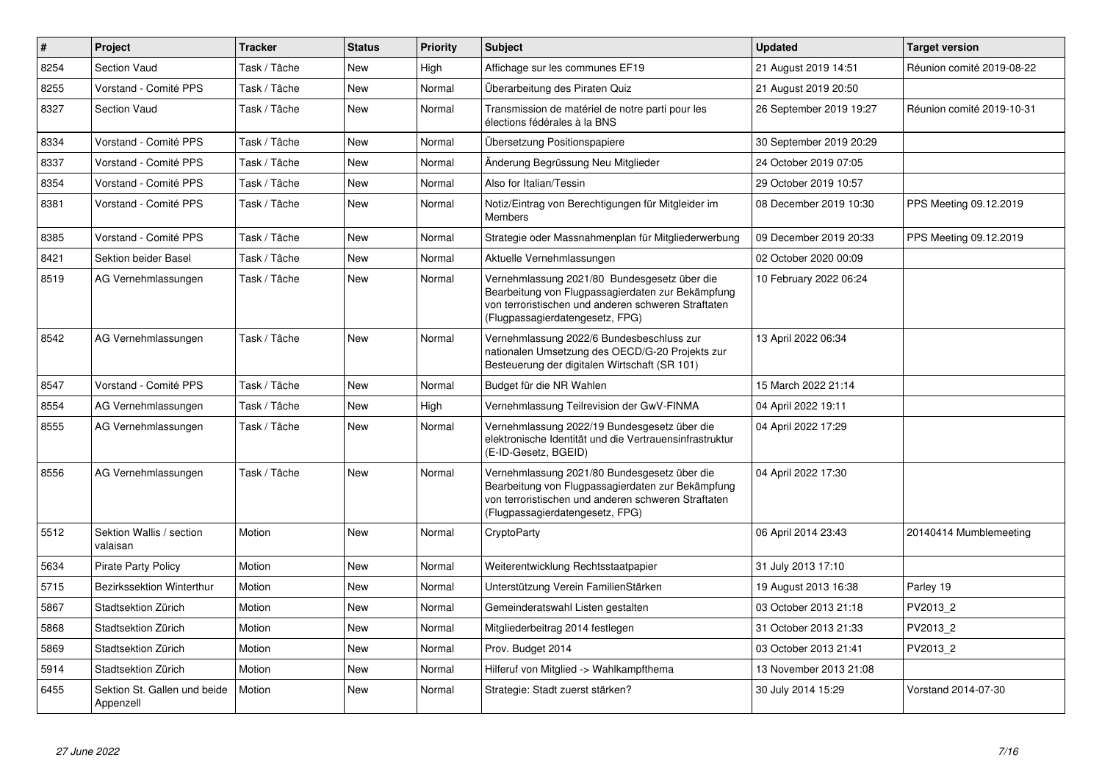| $\pmb{\#}$ | Project                                   | <b>Tracker</b> | <b>Status</b> | <b>Priority</b> | <b>Subject</b>                                                                                                                                                                              | <b>Updated</b>          | <b>Target version</b>     |
|------------|-------------------------------------------|----------------|---------------|-----------------|---------------------------------------------------------------------------------------------------------------------------------------------------------------------------------------------|-------------------------|---------------------------|
| 8254       | <b>Section Vaud</b>                       | Task / Tâche   | New           | High            | Affichage sur les communes EF19                                                                                                                                                             | 21 August 2019 14:51    | Réunion comité 2019-08-22 |
| 8255       | Vorstand - Comité PPS                     | Task / Tâche   | <b>New</b>    | Normal          | Überarbeitung des Piraten Quiz                                                                                                                                                              | 21 August 2019 20:50    |                           |
| 8327       | <b>Section Vaud</b>                       | Task / Tâche   | New           | Normal          | Transmission de matériel de notre parti pour les<br>élections fédérales à la BNS                                                                                                            | 26 September 2019 19:27 | Réunion comité 2019-10-31 |
| 8334       | Vorstand - Comité PPS                     | Task / Tâche   | New           | Normal          | Übersetzung Positionspapiere                                                                                                                                                                | 30 September 2019 20:29 |                           |
| 8337       | Vorstand - Comité PPS                     | Task / Tâche   | New           | Normal          | Änderung Begrüssung Neu Mitglieder                                                                                                                                                          | 24 October 2019 07:05   |                           |
| 8354       | Vorstand - Comité PPS                     | Task / Tâche   | <b>New</b>    | Normal          | Also for Italian/Tessin                                                                                                                                                                     | 29 October 2019 10:57   |                           |
| 8381       | Vorstand - Comité PPS                     | Task / Tâche   | New           | Normal          | Notiz/Eintrag von Berechtigungen für Mitgleider im<br>Members                                                                                                                               | 08 December 2019 10:30  | PPS Meeting 09.12.2019    |
| 8385       | Vorstand - Comité PPS                     | Task / Tâche   | <b>New</b>    | Normal          | Strategie oder Massnahmenplan für Mitgliederwerbung                                                                                                                                         | 09 December 2019 20:33  | PPS Meeting 09.12.2019    |
| 8421       | Sektion beider Basel                      | Task / Tâche   | New           | Normal          | Aktuelle Vernehmlassungen                                                                                                                                                                   | 02 October 2020 00:09   |                           |
| 8519       | AG Vernehmlassungen                       | Task / Tâche   | <b>New</b>    | Normal          | Vernehmlassung 2021/80 Bundesgesetz über die<br>Bearbeitung von Flugpassagierdaten zur Bekämpfung<br>von terroristischen und anderen schweren Straftaten<br>(Flugpassagierdatengesetz, FPG) | 10 February 2022 06:24  |                           |
| 8542       | AG Vernehmlassungen                       | Task / Tâche   | New           | Normal          | Vernehmlassung 2022/6 Bundesbeschluss zur<br>nationalen Umsetzung des OECD/G-20 Projekts zur<br>Besteuerung der digitalen Wirtschaft (SR 101)                                               | 13 April 2022 06:34     |                           |
| 8547       | Vorstand - Comité PPS                     | Task / Tâche   | New           | Normal          | Budget für die NR Wahlen                                                                                                                                                                    | 15 March 2022 21:14     |                           |
| 8554       | AG Vernehmlassungen                       | Task / Tâche   | <b>New</b>    | High            | Vernehmlassung Teilrevision der GwV-FINMA                                                                                                                                                   | 04 April 2022 19:11     |                           |
| 8555       | AG Vernehmlassungen                       | Task / Tâche   | New           | Normal          | Vernehmlassung 2022/19 Bundesgesetz über die<br>elektronische Identität und die Vertrauensinfrastruktur<br>(E-ID-Gesetz, BGEID)                                                             | 04 April 2022 17:29     |                           |
| 8556       | AG Vernehmlassungen                       | Task / Tâche   | <b>New</b>    | Normal          | Vernehmlassung 2021/80 Bundesgesetz über die<br>Bearbeitung von Flugpassagierdaten zur Bekämpfung<br>von terroristischen und anderen schweren Straftaten<br>(Flugpassagierdatengesetz, FPG) | 04 April 2022 17:30     |                           |
| 5512       | Sektion Wallis / section<br>valaisan      | Motion         | <b>New</b>    | Normal          | CryptoParty                                                                                                                                                                                 | 06 April 2014 23:43     | 20140414 Mumblemeeting    |
| 5634       | <b>Pirate Party Policy</b>                | Motion         | New           | Normal          | Weiterentwicklung Rechtsstaatpapier                                                                                                                                                         | 31 July 2013 17:10      |                           |
| 5715       | <b>Bezirkssektion Winterthur</b>          | Motion         | New           | Normal          | Unterstützung Verein FamilienStärken                                                                                                                                                        | 19 August 2013 16:38    | Parley 19                 |
| 5867       | Stadtsektion Zürich                       | Motion         | New           | Normal          | Gemeinderatswahl Listen gestalten                                                                                                                                                           | 03 October 2013 21:18   | PV2013 2                  |
| 5868       | Stadtsektion Zürich                       | Motion         | New           | Normal          | Mitgliederbeitrag 2014 festlegen                                                                                                                                                            | 31 October 2013 21:33   | PV2013_2                  |
| 5869       | Stadtsektion Zürich                       | Motion         | New           | Normal          | Prov. Budget 2014                                                                                                                                                                           | 03 October 2013 21:41   | PV2013 2                  |
| 5914       | Stadtsektion Zürich                       | Motion         | New           | Normal          | Hilferuf von Mitglied -> Wahlkampfthema                                                                                                                                                     | 13 November 2013 21:08  |                           |
| 6455       | Sektion St. Gallen und beide<br>Appenzell | Motion         | New           | Normal          | Strategie: Stadt zuerst stärken?                                                                                                                                                            | 30 July 2014 15:29      | Vorstand 2014-07-30       |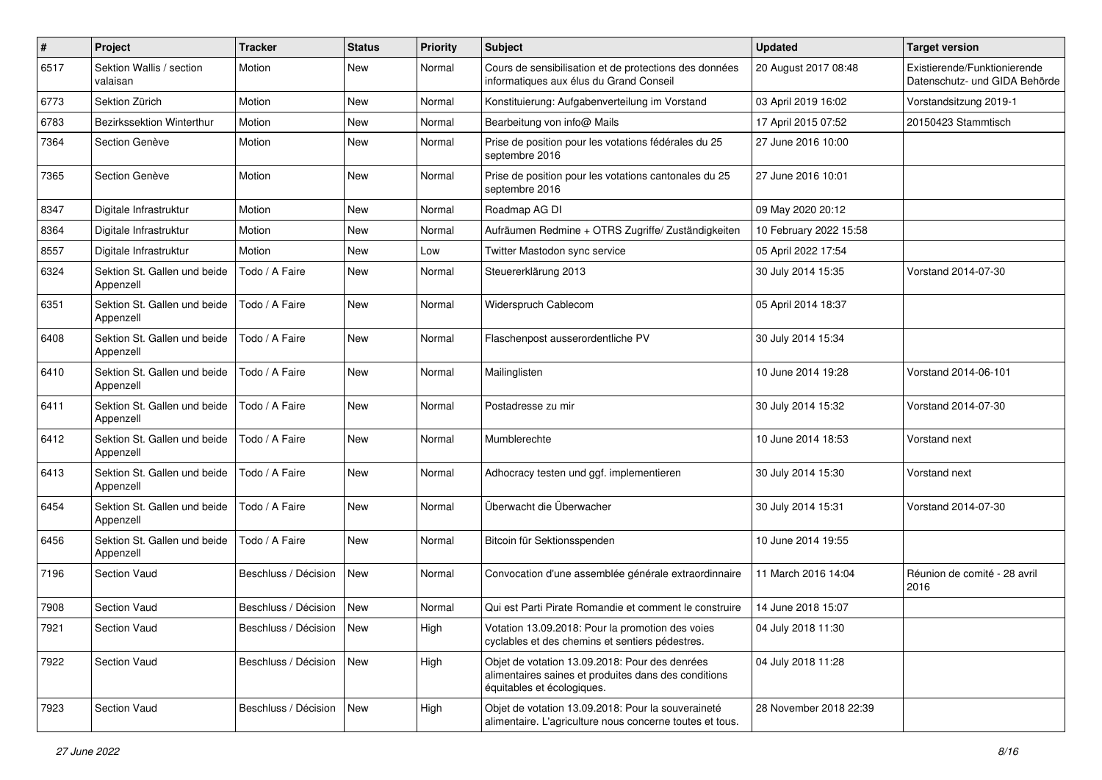| $\pmb{\#}$ | Project                                   | <b>Tracker</b>             | <b>Status</b> | <b>Priority</b> | Subject                                                                                                                              | <b>Updated</b>         | <b>Target version</b>                                         |
|------------|-------------------------------------------|----------------------------|---------------|-----------------|--------------------------------------------------------------------------------------------------------------------------------------|------------------------|---------------------------------------------------------------|
| 6517       | Sektion Wallis / section<br>valaisan      | Motion                     | <b>New</b>    | Normal          | Cours de sensibilisation et de protections des données<br>informatiques aux élus du Grand Conseil                                    | 20 August 2017 08:48   | Existierende/Funktionierende<br>Datenschutz- und GIDA Behörde |
| 6773       | Sektion Zürich                            | Motion                     | New           | Normal          | Konstituierung: Aufgabenverteilung im Vorstand                                                                                       | 03 April 2019 16:02    | Vorstandsitzung 2019-1                                        |
| 6783       | Bezirkssektion Winterthur                 | Motion                     | <b>New</b>    | Normal          | Bearbeitung von info@ Mails                                                                                                          | 17 April 2015 07:52    | 20150423 Stammtisch                                           |
| 7364       | Section Genève                            | Motion                     | <b>New</b>    | Normal          | Prise de position pour les votations fédérales du 25<br>septembre 2016                                                               | 27 June 2016 10:00     |                                                               |
| 7365       | Section Genève                            | Motion                     | <b>New</b>    | Normal          | Prise de position pour les votations cantonales du 25<br>septembre 2016                                                              | 27 June 2016 10:01     |                                                               |
| 8347       | Digitale Infrastruktur                    | Motion                     | New           | Normal          | Roadmap AG DI                                                                                                                        | 09 May 2020 20:12      |                                                               |
| 8364       | Digitale Infrastruktur                    | Motion                     | <b>New</b>    | Normal          | Aufräumen Redmine + OTRS Zugriffe/ Zuständigkeiten                                                                                   | 10 February 2022 15:58 |                                                               |
| 8557       | Digitale Infrastruktur                    | Motion                     | New           | Low             | Twitter Mastodon sync service                                                                                                        | 05 April 2022 17:54    |                                                               |
| 6324       | Sektion St. Gallen und beide<br>Appenzell | Todo / A Faire             | New           | Normal          | Steuererklärung 2013                                                                                                                 | 30 July 2014 15:35     | Vorstand 2014-07-30                                           |
| 6351       | Sektion St. Gallen und beide<br>Appenzell | Todo / A Faire             | <b>New</b>    | Normal          | Widerspruch Cablecom                                                                                                                 | 05 April 2014 18:37    |                                                               |
| 6408       | Sektion St. Gallen und beide<br>Appenzell | Todo / A Faire             | New           | Normal          | Flaschenpost ausserordentliche PV                                                                                                    | 30 July 2014 15:34     |                                                               |
| 6410       | Sektion St. Gallen und beide<br>Appenzell | Todo / A Faire             | <b>New</b>    | Normal          | Mailinglisten                                                                                                                        | 10 June 2014 19:28     | Vorstand 2014-06-101                                          |
| 6411       | Sektion St. Gallen und beide<br>Appenzell | Todo / A Faire             | <b>New</b>    | Normal          | Postadresse zu mir                                                                                                                   | 30 July 2014 15:32     | Vorstand 2014-07-30                                           |
| 6412       | Sektion St. Gallen und beide<br>Appenzell | Todo / A Faire             | <b>New</b>    | Normal          | Mumblerechte                                                                                                                         | 10 June 2014 18:53     | Vorstand next                                                 |
| 6413       | Sektion St. Gallen und beide<br>Appenzell | Todo / A Faire             | <b>New</b>    | Normal          | Adhocracy testen und ggf. implementieren                                                                                             | 30 July 2014 15:30     | Vorstand next                                                 |
| 6454       | Sektion St. Gallen und beide<br>Appenzell | Todo / A Faire             | <b>New</b>    | Normal          | Überwacht die Überwacher                                                                                                             | 30 July 2014 15:31     | Vorstand 2014-07-30                                           |
| 6456       | Sektion St. Gallen und beide<br>Appenzell | Todo / A Faire             | New           | Normal          | Bitcoin für Sektionsspenden                                                                                                          | 10 June 2014 19:55     |                                                               |
| 7196       | Section Vaud                              | Beschluss / Décision       | New           | Normal          | Convocation d'une assemblée générale extraordinnaire                                                                                 | 11 March 2016 14:04    | Réunion de comité - 28 avril<br>2016                          |
| 7908       | <b>Section Vaud</b>                       | Beschluss / Décision       | <b>New</b>    | Normal          | Qui est Parti Pirate Romandie et comment le construire                                                                               | 14 June 2018 15:07     |                                                               |
| 7921       | Section Vaud                              | Beschluss / Décision   New |               | High            | Votation 13.09.2018: Pour la promotion des voies<br>cyclables et des chemins et sentiers pédestres.                                  | 04 July 2018 11:30     |                                                               |
| 7922       | Section Vaud                              | Beschluss / Décision       | New           | High            | Objet de votation 13.09.2018: Pour des denrées<br>alimentaires saines et produites dans des conditions<br>équitables et écologiques. | 04 July 2018 11:28     |                                                               |
| 7923       | Section Vaud                              | Beschluss / Décision       | New           | High            | Objet de votation 13.09.2018: Pour la souveraineté<br>alimentaire. L'agriculture nous concerne toutes et tous.                       | 28 November 2018 22:39 |                                                               |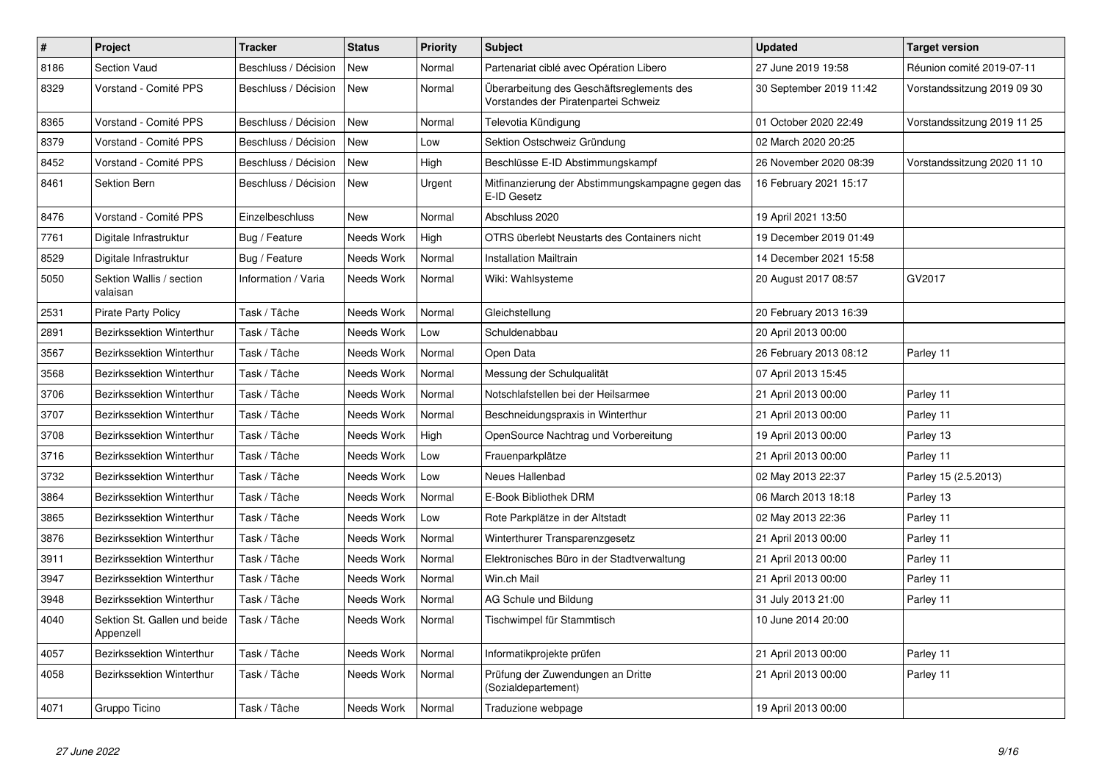| $\pmb{\#}$ | Project                                   | <b>Tracker</b>       | <b>Status</b> | <b>Priority</b> | <b>Subject</b>                                                                    | <b>Updated</b>          | <b>Target version</b>       |
|------------|-------------------------------------------|----------------------|---------------|-----------------|-----------------------------------------------------------------------------------|-------------------------|-----------------------------|
| 8186       | Section Vaud                              | Beschluss / Décision | <b>New</b>    | Normal          | Partenariat ciblé avec Opération Libero                                           | 27 June 2019 19:58      | Réunion comité 2019-07-11   |
| 8329       | Vorstand - Comité PPS                     | Beschluss / Décision | <b>New</b>    | Normal          | Überarbeitung des Geschäftsreglements des<br>Vorstandes der Piratenpartei Schweiz | 30 September 2019 11:42 | Vorstandssitzung 2019 09 30 |
| 8365       | Vorstand - Comité PPS                     | Beschluss / Décision | New           | Normal          | Televotia Kündigung                                                               | 01 October 2020 22:49   | Vorstandssitzung 2019 11 25 |
| 8379       | Vorstand - Comité PPS                     | Beschluss / Décision | <b>New</b>    | Low             | Sektion Ostschweiz Gründung                                                       | 02 March 2020 20:25     |                             |
| 8452       | Vorstand - Comité PPS                     | Beschluss / Décision | <b>New</b>    | High            | Beschlüsse E-ID Abstimmungskampf                                                  | 26 November 2020 08:39  | Vorstandssitzung 2020 11 10 |
| 8461       | Sektion Bern                              | Beschluss / Décision | <b>New</b>    | Urgent          | Mitfinanzierung der Abstimmungskampagne gegen das<br>E-ID Gesetz                  | 16 February 2021 15:17  |                             |
| 8476       | Vorstand - Comité PPS                     | Einzelbeschluss      | <b>New</b>    | Normal          | Abschluss 2020                                                                    | 19 April 2021 13:50     |                             |
| 7761       | Digitale Infrastruktur                    | Bug / Feature        | Needs Work    | High            | OTRS überlebt Neustarts des Containers nicht                                      | 19 December 2019 01:49  |                             |
| 8529       | Digitale Infrastruktur                    | Bug / Feature        | Needs Work    | Normal          | <b>Installation Mailtrain</b>                                                     | 14 December 2021 15:58  |                             |
| 5050       | Sektion Wallis / section<br>valaisan      | Information / Varia  | Needs Work    | Normal          | Wiki: Wahlsysteme                                                                 | 20 August 2017 08:57    | GV2017                      |
| 2531       | <b>Pirate Party Policy</b>                | Task / Tâche         | Needs Work    | Normal          | Gleichstellung                                                                    | 20 February 2013 16:39  |                             |
| 2891       | <b>Bezirkssektion Winterthur</b>          | Task / Tâche         | Needs Work    | Low             | Schuldenabbau                                                                     | 20 April 2013 00:00     |                             |
| 3567       | Bezirkssektion Winterthur                 | Task / Tâche         | Needs Work    | Normal          | Open Data                                                                         | 26 February 2013 08:12  | Parley 11                   |
| 3568       | Bezirkssektion Winterthur                 | Task / Tâche         | Needs Work    | Normal          | Messung der Schulqualität                                                         | 07 April 2013 15:45     |                             |
| 3706       | Bezirkssektion Winterthur                 | Task / Tâche         | Needs Work    | Normal          | Notschlafstellen bei der Heilsarmee                                               | 21 April 2013 00:00     | Parley 11                   |
| 3707       | <b>Bezirkssektion Winterthur</b>          | Task / Tâche         | Needs Work    | Normal          | Beschneidungspraxis in Winterthur                                                 | 21 April 2013 00:00     | Parley 11                   |
| 3708       | Bezirkssektion Winterthur                 | Task / Tâche         | Needs Work    | High            | OpenSource Nachtrag und Vorbereitung                                              | 19 April 2013 00:00     | Parley 13                   |
| 3716       | Bezirkssektion Winterthur                 | Task / Tâche         | Needs Work    | Low             | Frauenparkplätze                                                                  | 21 April 2013 00:00     | Parley 11                   |
| 3732       | <b>Bezirkssektion Winterthur</b>          | Task / Tâche         | Needs Work    | Low             | Neues Hallenbad                                                                   | 02 May 2013 22:37       | Parley 15 (2.5.2013)        |
| 3864       | Bezirkssektion Winterthur                 | Task / Tâche         | Needs Work    | Normal          | E-Book Bibliothek DRM                                                             | 06 March 2013 18:18     | Parley 13                   |
| 3865       | Bezirkssektion Winterthur                 | Task / Tâche         | Needs Work    | Low             | Rote Parkplätze in der Altstadt                                                   | 02 May 2013 22:36       | Parley 11                   |
| 3876       | Bezirkssektion Winterthur                 | Task / Tâche         | Needs Work    | Normal          | Winterthurer Transparenzgesetz                                                    | 21 April 2013 00:00     | Parley 11                   |
| 3911       | <b>Bezirkssektion Winterthur</b>          | Task / Tâche         | Needs Work    | Normal          | Elektronisches Büro in der Stadtverwaltung                                        | 21 April 2013 00:00     | Parley 11                   |
| 3947       | <b>Bezirkssektion Winterthur</b>          | Task / Tâche         | Needs Work    | Normal          | Win.ch Mail                                                                       | 21 April 2013 00:00     | Parley 11                   |
| 3948       | <b>Bezirkssektion Winterthur</b>          | Task / Tâche         | Needs Work    | Normal          | AG Schule und Bildung                                                             | 31 July 2013 21:00      | Parley 11                   |
| 4040       | Sektion St. Gallen und beide<br>Appenzell | Task / Tâche         | Needs Work    | Normal          | Tischwimpel für Stammtisch                                                        | 10 June 2014 20:00      |                             |
| 4057       | Bezirkssektion Winterthur                 | Task / Tâche         | Needs Work    | Normal          | Informatikprojekte prüfen                                                         | 21 April 2013 00:00     | Parley 11                   |
| 4058       | Bezirkssektion Winterthur                 | Task / Tâche         | Needs Work    | Normal          | Prüfung der Zuwendungen an Dritte<br>(Sozialdepartement)                          | 21 April 2013 00:00     | Parley 11                   |
| 4071       | Gruppo Ticino                             | Task / Tâche         | Needs Work    | Normal          | Traduzione webpage                                                                | 19 April 2013 00:00     |                             |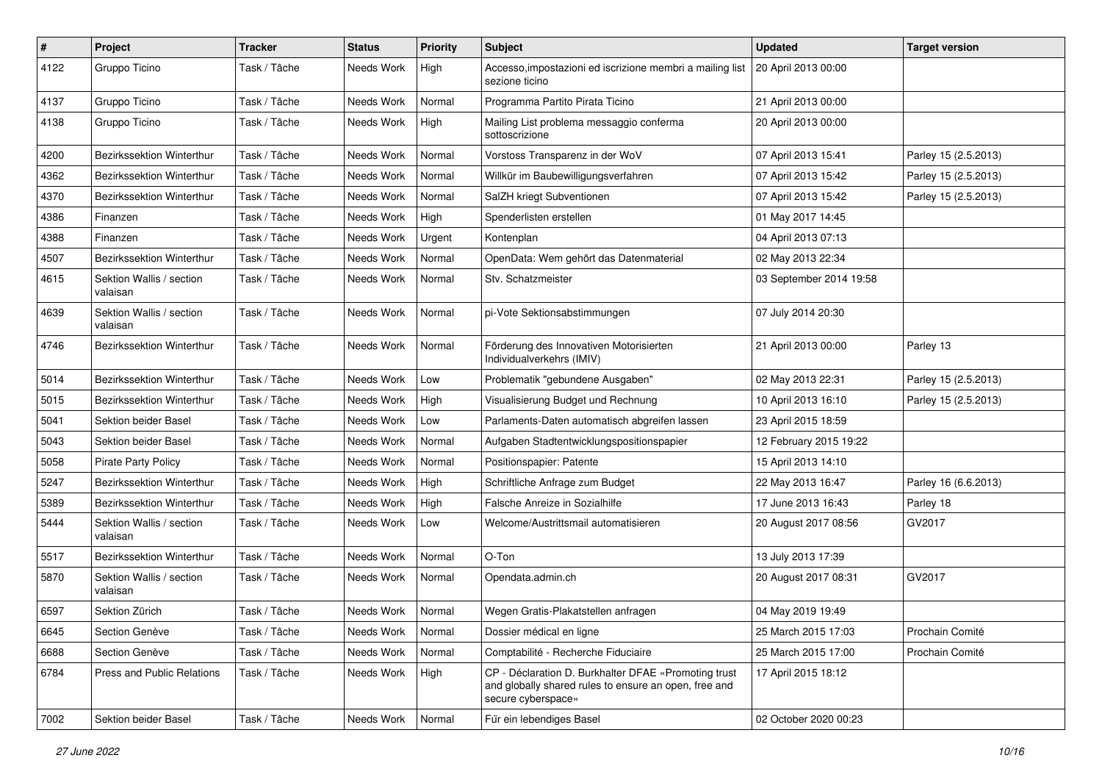| $\pmb{\#}$ | Project                              | <b>Tracker</b> | <b>Status</b> | <b>Priority</b> | <b>Subject</b>                                                                                                                      | <b>Updated</b>          | <b>Target version</b> |
|------------|--------------------------------------|----------------|---------------|-----------------|-------------------------------------------------------------------------------------------------------------------------------------|-------------------------|-----------------------|
| 4122       | Gruppo Ticino                        | Task / Tâche   | Needs Work    | High            | Accesso, impostazioni ed iscrizione membri a mailing list   20 April 2013 00:00<br>sezione ticino                                   |                         |                       |
| 4137       | Gruppo Ticino                        | Task / Tâche   | Needs Work    | Normal          | Programma Partito Pirata Ticino                                                                                                     | 21 April 2013 00:00     |                       |
| 4138       | Gruppo Ticino                        | Task / Tâche   | Needs Work    | High            | Mailing List problema messaggio conferma<br>sottoscrizione                                                                          | 20 April 2013 00:00     |                       |
| 4200       | <b>Bezirkssektion Winterthur</b>     | Task / Tâche   | Needs Work    | Normal          | Vorstoss Transparenz in der WoV                                                                                                     | 07 April 2013 15:41     | Parley 15 (2.5.2013)  |
| 4362       | Bezirkssektion Winterthur            | Task / Tâche   | Needs Work    | Normal          | Willkür im Baubewilligungsverfahren                                                                                                 | 07 April 2013 15:42     | Parley 15 (2.5.2013)  |
| 4370       | <b>Bezirkssektion Winterthur</b>     | Task / Tâche   | Needs Work    | Normal          | SalZH kriegt Subventionen                                                                                                           | 07 April 2013 15:42     | Parley 15 (2.5.2013)  |
| 4386       | Finanzen                             | Task / Tâche   | Needs Work    | High            | Spenderlisten erstellen                                                                                                             | 01 May 2017 14:45       |                       |
| 4388       | Finanzen                             | Task / Tâche   | Needs Work    | Urgent          | Kontenplan                                                                                                                          | 04 April 2013 07:13     |                       |
| 4507       | <b>Bezirkssektion Winterthur</b>     | Task / Tâche   | Needs Work    | Normal          | OpenData: Wem gehört das Datenmaterial                                                                                              | 02 May 2013 22:34       |                       |
| 4615       | Sektion Wallis / section<br>valaisan | Task / Tâche   | Needs Work    | Normal          | Stv. Schatzmeister                                                                                                                  | 03 September 2014 19:58 |                       |
| 4639       | Sektion Wallis / section<br>valaisan | Task / Tâche   | Needs Work    | Normal          | pi-Vote Sektionsabstimmungen                                                                                                        | 07 July 2014 20:30      |                       |
| 4746       | <b>Bezirkssektion Winterthur</b>     | Task / Tâche   | Needs Work    | Normal          | Förderung des Innovativen Motorisierten<br>Individualverkehrs (IMIV)                                                                | 21 April 2013 00:00     | Parley 13             |
| 5014       | <b>Bezirkssektion Winterthur</b>     | Task / Tâche   | Needs Work    | Low             | Problematik "gebundene Ausgaben"                                                                                                    | 02 May 2013 22:31       | Parley 15 (2.5.2013)  |
| 5015       | Bezirkssektion Winterthur            | Task / Tâche   | Needs Work    | High            | Visualisierung Budget und Rechnung                                                                                                  | 10 April 2013 16:10     | Parley 15 (2.5.2013)  |
| 5041       | Sektion beider Basel                 | Task / Tâche   | Needs Work    | Low             | Parlaments-Daten automatisch abgreifen lassen                                                                                       | 23 April 2015 18:59     |                       |
| 5043       | Sektion beider Basel                 | Task / Tâche   | Needs Work    | Normal          | Aufgaben Stadtentwicklungspositionspapier                                                                                           | 12 February 2015 19:22  |                       |
| 5058       | <b>Pirate Party Policy</b>           | Task / Tâche   | Needs Work    | Normal          | Positionspapier: Patente                                                                                                            | 15 April 2013 14:10     |                       |
| 5247       | Bezirkssektion Winterthur            | Task / Tâche   | Needs Work    | High            | Schriftliche Anfrage zum Budget                                                                                                     | 22 May 2013 16:47       | Parley 16 (6.6.2013)  |
| 5389       | <b>Bezirkssektion Winterthur</b>     | Task / Tâche   | Needs Work    | High            | Falsche Anreize in Sozialhilfe                                                                                                      | 17 June 2013 16:43      | Parley 18             |
| 5444       | Sektion Wallis / section<br>valaisan | Task / Tâche   | Needs Work    | Low             | Welcome/Austrittsmail automatisieren                                                                                                | 20 August 2017 08:56    | GV2017                |
| 5517       | <b>Bezirkssektion Winterthur</b>     | Task / Tâche   | Needs Work    | Normal          | O-Ton                                                                                                                               | 13 July 2013 17:39      |                       |
| 5870       | Sektion Wallis / section<br>valaisan | Task / Tâche   | Needs Work    | Normal          | Opendata.admin.ch                                                                                                                   | 20 August 2017 08:31    | GV2017                |
| 6597       | Sektion Zürich                       | Task / Tâche   | Needs Work    | Normal          | Wegen Gratis-Plakatstellen anfragen                                                                                                 | 04 May 2019 19:49       |                       |
| 6645       | Section Genève                       | Task / Tâche   | Needs Work    | Normal          | Dossier médical en ligne                                                                                                            | 25 March 2015 17:03     | Prochain Comité       |
| 6688       | Section Genève                       | Task / Tâche   | Needs Work    | Normal          | Comptabilité - Recherche Fiduciaire                                                                                                 | 25 March 2015 17:00     | Prochain Comité       |
| 6784       | Press and Public Relations           | Task / Tâche   | Needs Work    | High            | CP - Déclaration D. Burkhalter DFAE «Promoting trust<br>and globally shared rules to ensure an open, free and<br>secure cyberspace» | 17 April 2015 18:12     |                       |
| 7002       | Sektion beider Basel                 | Task / Tâche   | Needs Work    | Normal          | Für ein lebendiges Basel                                                                                                            | 02 October 2020 00:23   |                       |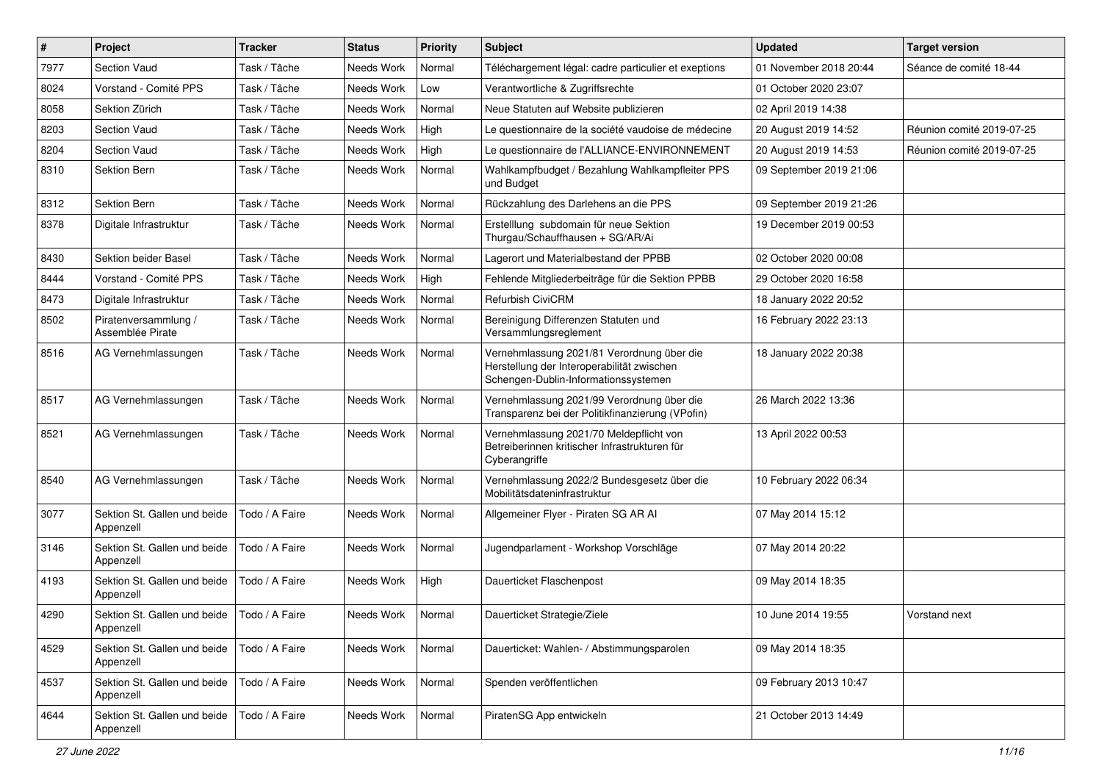| $\pmb{\#}$ | Project                                   | <b>Tracker</b> | <b>Status</b> | <b>Priority</b> | <b>Subject</b>                                                                                                                   | <b>Updated</b>          | <b>Target version</b>     |
|------------|-------------------------------------------|----------------|---------------|-----------------|----------------------------------------------------------------------------------------------------------------------------------|-------------------------|---------------------------|
| 7977       | <b>Section Vaud</b>                       | Task / Tâche   | Needs Work    | Normal          | Téléchargement légal: cadre particulier et exeptions                                                                             | 01 November 2018 20:44  | Séance de comité 18-44    |
| 8024       | Vorstand - Comité PPS                     | Task / Tâche   | Needs Work    | Low             | Verantwortliche & Zugriffsrechte                                                                                                 | 01 October 2020 23:07   |                           |
| 8058       | Sektion Zürich                            | Task / Tâche   | Needs Work    | Normal          | Neue Statuten auf Website publizieren                                                                                            | 02 April 2019 14:38     |                           |
| 8203       | Section Vaud                              | Task / Tâche   | Needs Work    | High            | Le questionnaire de la société vaudoise de médecine                                                                              | 20 August 2019 14:52    | Réunion comité 2019-07-25 |
| 8204       | <b>Section Vaud</b>                       | Task / Tâche   | Needs Work    | High            | Le questionnaire de l'ALLIANCE-ENVIRONNEMENT                                                                                     | 20 August 2019 14:53    | Réunion comité 2019-07-25 |
| 8310       | <b>Sektion Bern</b>                       | Task / Tâche   | Needs Work    | Normal          | Wahlkampfbudget / Bezahlung Wahlkampfleiter PPS<br>und Budget                                                                    | 09 September 2019 21:06 |                           |
| 8312       | Sektion Bern                              | Task / Tâche   | Needs Work    | Normal          | Rückzahlung des Darlehens an die PPS                                                                                             | 09 September 2019 21:26 |                           |
| 8378       | Digitale Infrastruktur                    | Task / Tâche   | Needs Work    | Normal          | Erstelllung subdomain für neue Sektion<br>Thurgau/Schauffhausen + SG/AR/Ai                                                       | 19 December 2019 00:53  |                           |
| 8430       | Sektion beider Basel                      | Task / Tâche   | Needs Work    | Normal          | Lagerort und Materialbestand der PPBB                                                                                            | 02 October 2020 00:08   |                           |
| 8444       | Vorstand - Comité PPS                     | Task / Tâche   | Needs Work    | High            | Fehlende Mitgliederbeiträge für die Sektion PPBB                                                                                 | 29 October 2020 16:58   |                           |
| 8473       | Digitale Infrastruktur                    | Task / Tâche   | Needs Work    | Normal          | Refurbish CiviCRM                                                                                                                | 18 January 2022 20:52   |                           |
| 8502       | Piratenversammlung /<br>Assemblée Pirate  | Task / Tâche   | Needs Work    | Normal          | Bereinigung Differenzen Statuten und<br>Versammlungsreglement                                                                    | 16 February 2022 23:13  |                           |
| 8516       | AG Vernehmlassungen                       | Task / Tâche   | Needs Work    | Normal          | Vernehmlassung 2021/81 Verordnung über die<br>Herstellung der Interoperabilität zwischen<br>Schengen-Dublin-Informationssystemen | 18 January 2022 20:38   |                           |
| 8517       | AG Vernehmlassungen                       | Task / Tâche   | Needs Work    | Normal          | Vernehmlassung 2021/99 Verordnung über die<br>Transparenz bei der Politikfinanzierung (VPofin)                                   | 26 March 2022 13:36     |                           |
| 8521       | AG Vernehmlassungen                       | Task / Tâche   | Needs Work    | Normal          | Vernehmlassung 2021/70 Meldepflicht von<br>Betreiberinnen kritischer Infrastrukturen für<br>Cyberangriffe                        | 13 April 2022 00:53     |                           |
| 8540       | AG Vernehmlassungen                       | Task / Tâche   | Needs Work    | Normal          | Vernehmlassung 2022/2 Bundesgesetz über die<br>Mobilitätsdateninfrastruktur                                                      | 10 February 2022 06:34  |                           |
| 3077       | Sektion St. Gallen und beide<br>Appenzell | Todo / A Faire | Needs Work    | Normal          | Allgemeiner Flyer - Piraten SG AR AI                                                                                             | 07 May 2014 15:12       |                           |
| 3146       | Sektion St. Gallen und beide<br>Appenzell | Todo / A Faire | Needs Work    | Normal          | Jugendparlament - Workshop Vorschläge                                                                                            | 07 May 2014 20:22       |                           |
| 4193       | Sektion St. Gallen und beide<br>Appenzell | Todo / A Faire | Needs Work    | High            | Dauerticket Flaschenpost                                                                                                         | 09 May 2014 18:35       |                           |
| 4290       | Sektion St. Gallen und beide<br>Appenzell | Todo / A Faire | Needs Work    | Normal          | Dauerticket Strategie/Ziele                                                                                                      | 10 June 2014 19:55      | Vorstand next             |
| 4529       | Sektion St. Gallen und beide<br>Appenzell | Todo / A Faire | Needs Work    | Normal          | Dauerticket: Wahlen- / Abstimmungsparolen                                                                                        | 09 May 2014 18:35       |                           |
| 4537       | Sektion St. Gallen und beide<br>Appenzell | Todo / A Faire | Needs Work    | Normal          | Spenden veröffentlichen                                                                                                          | 09 February 2013 10:47  |                           |
| 4644       | Sektion St. Gallen und beide<br>Appenzell | Todo / A Faire | Needs Work    | Normal          | PiratenSG App entwickeln                                                                                                         | 21 October 2013 14:49   |                           |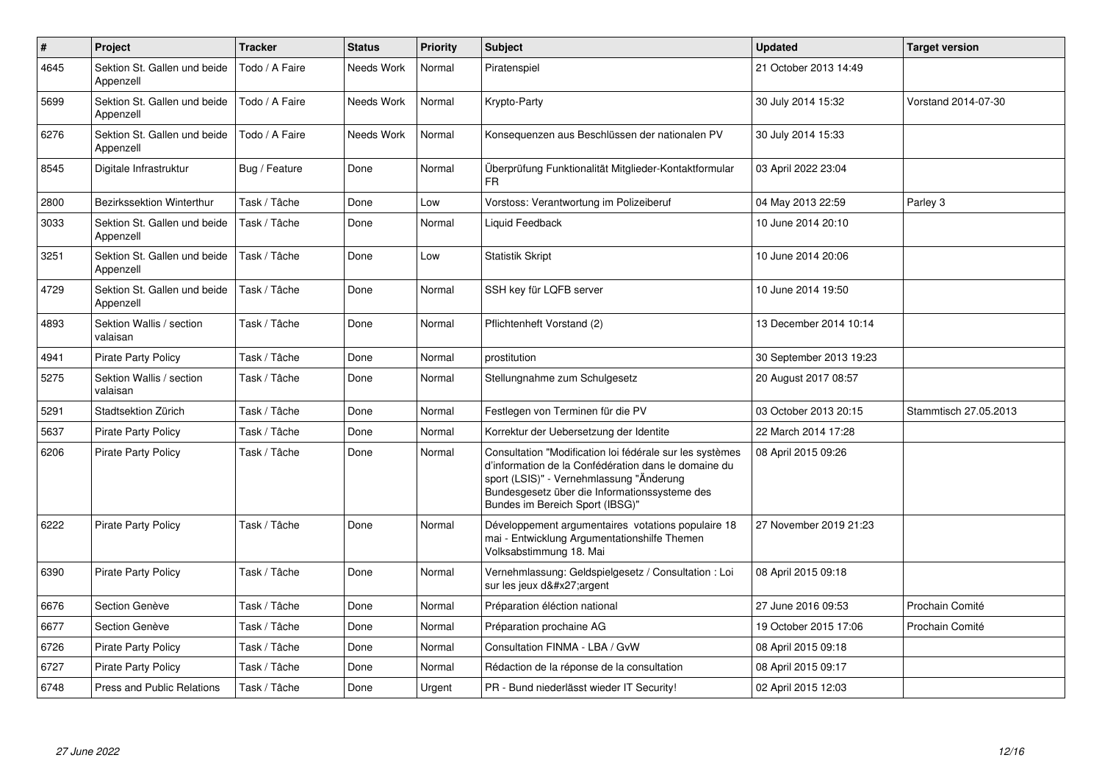| $\pmb{\#}$ | Project                                   | <b>Tracker</b> | <b>Status</b> | <b>Priority</b> | <b>Subject</b>                                                                                                                                                                                                                                   | <b>Updated</b>          | <b>Target version</b> |
|------------|-------------------------------------------|----------------|---------------|-----------------|--------------------------------------------------------------------------------------------------------------------------------------------------------------------------------------------------------------------------------------------------|-------------------------|-----------------------|
| 4645       | Sektion St. Gallen und beide<br>Appenzell | Todo / A Faire | Needs Work    | Normal          | Piratenspiel                                                                                                                                                                                                                                     | 21 October 2013 14:49   |                       |
| 5699       | Sektion St. Gallen und beide<br>Appenzell | Todo / A Faire | Needs Work    | Normal          | Krypto-Party                                                                                                                                                                                                                                     | 30 July 2014 15:32      | Vorstand 2014-07-30   |
| 6276       | Sektion St. Gallen und beide<br>Appenzell | Todo / A Faire | Needs Work    | Normal          | Konsequenzen aus Beschlüssen der nationalen PV                                                                                                                                                                                                   | 30 July 2014 15:33      |                       |
| 8545       | Digitale Infrastruktur                    | Bug / Feature  | Done          | Normal          | Überprüfung Funktionalität Mitglieder-Kontaktformular<br>FR.                                                                                                                                                                                     | 03 April 2022 23:04     |                       |
| 2800       | <b>Bezirkssektion Winterthur</b>          | Task / Tâche   | Done          | Low             | Vorstoss: Verantwortung im Polizeiberuf                                                                                                                                                                                                          | 04 May 2013 22:59       | Parley 3              |
| 3033       | Sektion St. Gallen und beide<br>Appenzell | Task / Tâche   | Done          | Normal          | Liquid Feedback                                                                                                                                                                                                                                  | 10 June 2014 20:10      |                       |
| 3251       | Sektion St. Gallen und beide<br>Appenzell | Task / Tâche   | Done          | Low             | <b>Statistik Skript</b>                                                                                                                                                                                                                          | 10 June 2014 20:06      |                       |
| 4729       | Sektion St. Gallen und beide<br>Appenzell | Task / Tâche   | Done          | Normal          | SSH key für LQFB server                                                                                                                                                                                                                          | 10 June 2014 19:50      |                       |
| 4893       | Sektion Wallis / section<br>valaisan      | Task / Tâche   | Done          | Normal          | Pflichtenheft Vorstand (2)                                                                                                                                                                                                                       | 13 December 2014 10:14  |                       |
| 4941       | <b>Pirate Party Policy</b>                | Task / Tâche   | Done          | Normal          | prostitution                                                                                                                                                                                                                                     | 30 September 2013 19:23 |                       |
| 5275       | Sektion Wallis / section<br>valaisan      | Task / Tâche   | Done          | Normal          | Stellungnahme zum Schulgesetz                                                                                                                                                                                                                    | 20 August 2017 08:57    |                       |
| 5291       | Stadtsektion Zürich                       | Task / Tâche   | Done          | Normal          | Festlegen von Terminen für die PV                                                                                                                                                                                                                | 03 October 2013 20:15   | Stammtisch 27.05.2013 |
| 5637       | <b>Pirate Party Policy</b>                | Task / Tâche   | Done          | Normal          | Korrektur der Uebersetzung der Identite                                                                                                                                                                                                          | 22 March 2014 17:28     |                       |
| 6206       | <b>Pirate Party Policy</b>                | Task / Tâche   | Done          | Normal          | Consultation "Modification loi fédérale sur les systèmes<br>d'information de la Confédération dans le domaine du<br>sport (LSIS)" - Vernehmlassung "Änderung<br>Bundesgesetz über die Informationssysteme des<br>Bundes im Bereich Sport (IBSG)" | 08 April 2015 09:26     |                       |
| 6222       | <b>Pirate Party Policy</b>                | Task / Tâche   | Done          | Normal          | Développement argumentaires votations populaire 18<br>mai - Entwicklung Argumentationshilfe Themen<br>Volksabstimmung 18. Mai                                                                                                                    | 27 November 2019 21:23  |                       |
| 6390       | <b>Pirate Party Policy</b>                | Task / Tâche   | Done          | Normal          | Vernehmlassung: Geldspielgesetz / Consultation : Loi<br>sur les jeux d'argent                                                                                                                                                                    | 08 April 2015 09:18     |                       |
| 6676       | Section Genève                            | Task / Tâche   | Done          | Normal          | Préparation éléction national                                                                                                                                                                                                                    | 27 June 2016 09:53      | Prochain Comité       |
| 6677       | Section Genève                            | Task / Tâche   | Done          | Normal          | Préparation prochaine AG                                                                                                                                                                                                                         | 19 October 2015 17:06   | Prochain Comité       |
| 6726       | <b>Pirate Party Policy</b>                | Task / Tâche   | Done          | Normal          | Consultation FINMA - LBA / GvW                                                                                                                                                                                                                   | 08 April 2015 09:18     |                       |
| 6727       | <b>Pirate Party Policy</b>                | Task / Tâche   | Done          | Normal          | Rédaction de la réponse de la consultation                                                                                                                                                                                                       | 08 April 2015 09:17     |                       |
| 6748       | Press and Public Relations                | Task / Tâche   | Done          | Urgent          | PR - Bund niederlässt wieder IT Security!                                                                                                                                                                                                        | 02 April 2015 12:03     |                       |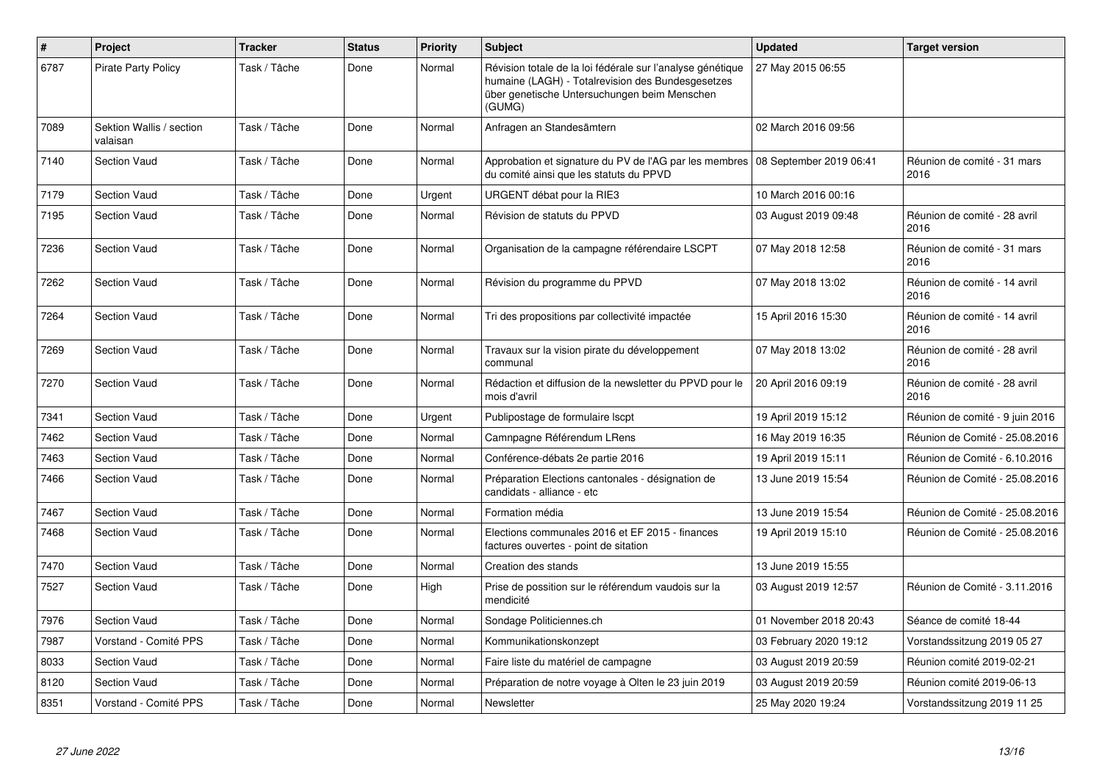| $\pmb{\#}$ | Project                              | <b>Tracker</b> | <b>Status</b> | <b>Priority</b> | <b>Subject</b>                                                                                                                                                            | <b>Updated</b>         | <b>Target version</b>                |
|------------|--------------------------------------|----------------|---------------|-----------------|---------------------------------------------------------------------------------------------------------------------------------------------------------------------------|------------------------|--------------------------------------|
| 6787       | <b>Pirate Party Policy</b>           | Task / Tâche   | Done          | Normal          | Révision totale de la loi fédérale sur l'analyse génétique<br>humaine (LAGH) - Totalrevision des Bundesgesetzes<br>über genetische Untersuchungen beim Menschen<br>(GUMG) | 27 May 2015 06:55      |                                      |
| 7089       | Sektion Wallis / section<br>valaisan | Task / Tâche   | Done          | Normal          | Anfragen an Standesämtern                                                                                                                                                 | 02 March 2016 09:56    |                                      |
| 7140       | <b>Section Vaud</b>                  | Task / Tâche   | Done          | Normal          | Approbation et signature du PV de l'AG par les membres   08 September 2019 06:41<br>du comité ainsi que les statuts du PPVD                                               |                        | Réunion de comité - 31 mars<br>2016  |
| 7179       | <b>Section Vaud</b>                  | Task / Tâche   | Done          | Urgent          | URGENT débat pour la RIE3                                                                                                                                                 | 10 March 2016 00:16    |                                      |
| 7195       | <b>Section Vaud</b>                  | Task / Tâche   | Done          | Normal          | Révision de statuts du PPVD                                                                                                                                               | 03 August 2019 09:48   | Réunion de comité - 28 avril<br>2016 |
| 7236       | <b>Section Vaud</b>                  | Task / Tâche   | Done          | Normal          | Organisation de la campagne référendaire LSCPT                                                                                                                            | 07 May 2018 12:58      | Réunion de comité - 31 mars<br>2016  |
| 7262       | <b>Section Vaud</b>                  | Task / Tâche   | Done          | Normal          | Révision du programme du PPVD                                                                                                                                             | 07 May 2018 13:02      | Réunion de comité - 14 avril<br>2016 |
| 7264       | Section Vaud                         | Task / Tâche   | Done          | Normal          | Tri des propositions par collectivité impactée                                                                                                                            | 15 April 2016 15:30    | Réunion de comité - 14 avril<br>2016 |
| 7269       | <b>Section Vaud</b>                  | Task / Tâche   | Done          | Normal          | Travaux sur la vision pirate du développement<br>communal                                                                                                                 | 07 May 2018 13:02      | Réunion de comité - 28 avril<br>2016 |
| 7270       | <b>Section Vaud</b>                  | Task / Tâche   | Done          | Normal          | Rédaction et diffusion de la newsletter du PPVD pour le<br>mois d'avril                                                                                                   | 20 April 2016 09:19    | Réunion de comité - 28 avril<br>2016 |
| 7341       | Section Vaud                         | Task / Tâche   | Done          | Urgent          | Publipostage de formulaire Iscpt                                                                                                                                          | 19 April 2019 15:12    | Réunion de comité - 9 juin 2016      |
| 7462       | <b>Section Vaud</b>                  | Task / Tâche   | Done          | Normal          | Camnpagne Référendum LRens                                                                                                                                                | 16 May 2019 16:35      | Réunion de Comité - 25.08.2016       |
| 7463       | <b>Section Vaud</b>                  | Task / Tâche   | Done          | Normal          | Conférence-débats 2e partie 2016                                                                                                                                          | 19 April 2019 15:11    | Réunion de Comité - 6.10.2016        |
| 7466       | <b>Section Vaud</b>                  | Task / Tâche   | Done          | Normal          | Préparation Elections cantonales - désignation de<br>candidats - alliance - etc                                                                                           | 13 June 2019 15:54     | Réunion de Comité - 25.08.2016       |
| 7467       | <b>Section Vaud</b>                  | Task / Tâche   | Done          | Normal          | Formation média                                                                                                                                                           | 13 June 2019 15:54     | Réunion de Comité - 25.08.2016       |
| 7468       | <b>Section Vaud</b>                  | Task / Tâche   | Done          | Normal          | Elections communales 2016 et EF 2015 - finances<br>factures ouvertes - point de sitation                                                                                  | 19 April 2019 15:10    | Réunion de Comité - 25.08.2016       |
| 7470       | <b>Section Vaud</b>                  | Task / Tâche   | Done          | Normal          | Creation des stands                                                                                                                                                       | 13 June 2019 15:55     |                                      |
| 7527       | <b>Section Vaud</b>                  | Task / Tâche   | Done          | High            | Prise de possition sur le référendum vaudois sur la<br>mendicité                                                                                                          | 03 August 2019 12:57   | Réunion de Comité - 3.11.2016        |
| 7976       | <b>Section Vaud</b>                  | Task / Tâche   | Done          | Normal          | Sondage Politiciennes.ch                                                                                                                                                  | 01 November 2018 20:43 | Séance de comité 18-44               |
| 7987       | Vorstand - Comité PPS                | Task / Tâche   | Done          | Normal          | Kommunikationskonzept                                                                                                                                                     | 03 February 2020 19:12 | Vorstandssitzung 2019 05 27          |
| 8033       | <b>Section Vaud</b>                  | Task / Tâche   | Done          | Normal          | Faire liste du matériel de campagne                                                                                                                                       | 03 August 2019 20:59   | Réunion comité 2019-02-21            |
| 8120       | Section Vaud                         | Task / Tâche   | Done          | Normal          | Préparation de notre voyage à Olten le 23 juin 2019                                                                                                                       | 03 August 2019 20:59   | Réunion comité 2019-06-13            |
| 8351       | Vorstand - Comité PPS                | Task / Tâche   | Done          | Normal          | Newsletter                                                                                                                                                                | 25 May 2020 19:24      | Vorstandssitzung 2019 11 25          |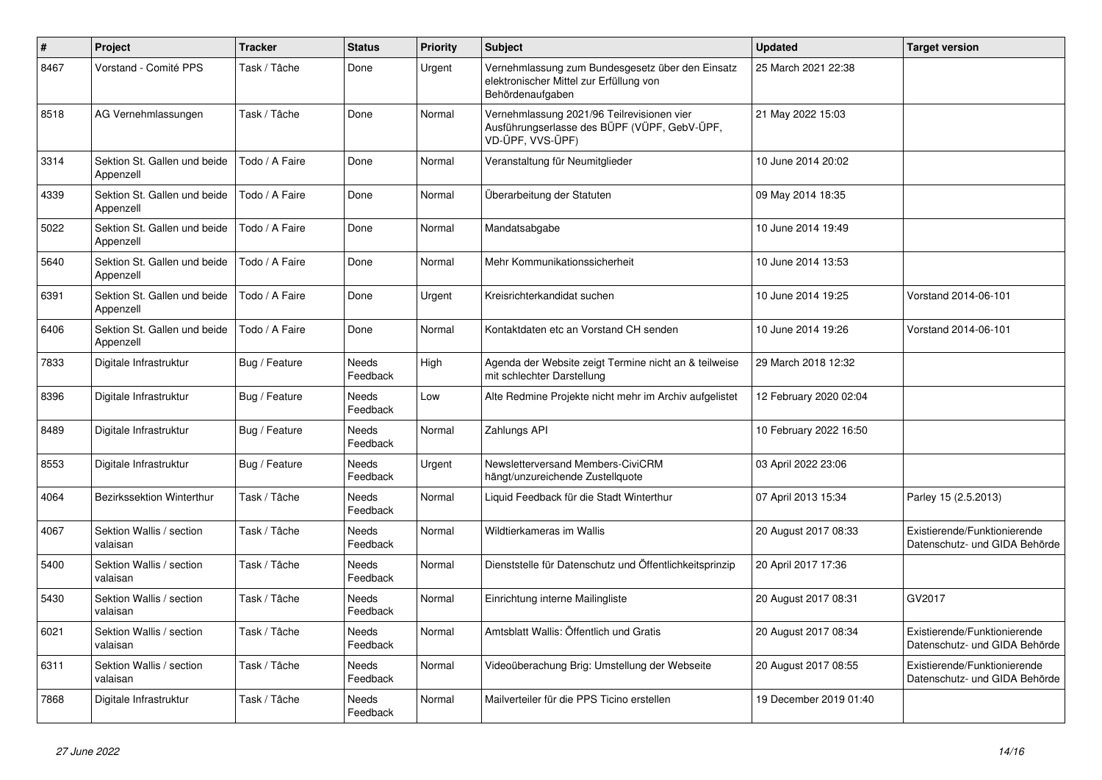| $\sharp$ | Project                                   | <b>Tracker</b> | <b>Status</b>            | <b>Priority</b> | <b>Subject</b>                                                                                                  | <b>Updated</b>         | <b>Target version</b>                                         |
|----------|-------------------------------------------|----------------|--------------------------|-----------------|-----------------------------------------------------------------------------------------------------------------|------------------------|---------------------------------------------------------------|
| 8467     | Vorstand - Comité PPS                     | Task / Tâche   | Done                     | Urgent          | Vernehmlassung zum Bundesgesetz über den Einsatz<br>elektronischer Mittel zur Erfüllung von<br>Behördenaufgaben | 25 March 2021 22:38    |                                                               |
| 8518     | AG Vernehmlassungen                       | Task / Tâche   | Done                     | Normal          | Vernehmlassung 2021/96 Teilrevisionen vier<br>Ausführungserlasse des BÜPF (VÜPF, GebV-ÜPF,<br>VD-ÜPF, VVS-ÜPF)  | 21 May 2022 15:03      |                                                               |
| 3314     | Sektion St. Gallen und beide<br>Appenzell | Todo / A Faire | Done                     | Normal          | Veranstaltung für Neumitglieder                                                                                 | 10 June 2014 20:02     |                                                               |
| 4339     | Sektion St. Gallen und beide<br>Appenzell | Todo / A Faire | Done                     | Normal          | Überarbeitung der Statuten                                                                                      | 09 May 2014 18:35      |                                                               |
| 5022     | Sektion St. Gallen und beide<br>Appenzell | Todo / A Faire | Done                     | Normal          | Mandatsabgabe                                                                                                   | 10 June 2014 19:49     |                                                               |
| 5640     | Sektion St. Gallen und beide<br>Appenzell | Todo / A Faire | Done                     | Normal          | Mehr Kommunikationssicherheit                                                                                   | 10 June 2014 13:53     |                                                               |
| 6391     | Sektion St. Gallen und beide<br>Appenzell | Todo / A Faire | Done                     | Urgent          | Kreisrichterkandidat suchen                                                                                     | 10 June 2014 19:25     | Vorstand 2014-06-101                                          |
| 6406     | Sektion St. Gallen und beide<br>Appenzell | Todo / A Faire | Done                     | Normal          | Kontaktdaten etc an Vorstand CH senden                                                                          | 10 June 2014 19:26     | Vorstand 2014-06-101                                          |
| 7833     | Digitale Infrastruktur                    | Bug / Feature  | Needs<br>Feedback        | High            | Agenda der Website zeigt Termine nicht an & teilweise<br>mit schlechter Darstellung                             | 29 March 2018 12:32    |                                                               |
| 8396     | Digitale Infrastruktur                    | Bug / Feature  | <b>Needs</b><br>Feedback | Low             | Alte Redmine Projekte nicht mehr im Archiv aufgelistet                                                          | 12 February 2020 02:04 |                                                               |
| 8489     | Digitale Infrastruktur                    | Bug / Feature  | Needs<br>Feedback        | Normal          | Zahlungs API                                                                                                    | 10 February 2022 16:50 |                                                               |
| 8553     | Digitale Infrastruktur                    | Bug / Feature  | Needs<br>Feedback        | Urgent          | Newsletterversand Members-CiviCRM<br>hängt/unzureichende Zustellquote                                           | 03 April 2022 23:06    |                                                               |
| 4064     | Bezirkssektion Winterthur                 | Task / Tâche   | <b>Needs</b><br>Feedback | Normal          | Liquid Feedback für die Stadt Winterthur                                                                        | 07 April 2013 15:34    | Parley 15 (2.5.2013)                                          |
| 4067     | Sektion Wallis / section<br>valaisan      | Task / Tâche   | Needs<br>Feedback        | Normal          | Wildtierkameras im Wallis                                                                                       | 20 August 2017 08:33   | Existierende/Funktionierende<br>Datenschutz- und GIDA Behörde |
| 5400     | Sektion Wallis / section<br>valaisan      | Task / Tâche   | Needs<br>Feedback        | Normal          | Dienststelle für Datenschutz und Öffentlichkeitsprinzip                                                         | 20 April 2017 17:36    |                                                               |
| 5430     | Sektion Wallis / section<br>valaisan      | Task / Tâche   | <b>Needs</b><br>Feedback | Normal          | Einrichtung interne Mailingliste                                                                                | 20 August 2017 08:31   | GV2017                                                        |
| 6021     | Sektion Wallis / section<br>valaisan      | Task / Tâche   | Needs<br>Feedback        | Normal          | Amtsblatt Wallis: Öffentlich und Gratis                                                                         | 20 August 2017 08:34   | Existierende/Funktionierende<br>Datenschutz- und GIDA Behörde |
| 6311     | Sektion Wallis / section<br>valaisan      | Task / Tâche   | Needs<br>Feedback        | Normal          | Videoüberachung Brig: Umstellung der Webseite                                                                   | 20 August 2017 08:55   | Existierende/Funktionierende<br>Datenschutz- und GIDA Behörde |
| 7868     | Digitale Infrastruktur                    | Task / Tâche   | Needs<br>Feedback        | Normal          | Mailverteiler für die PPS Ticino erstellen                                                                      | 19 December 2019 01:40 |                                                               |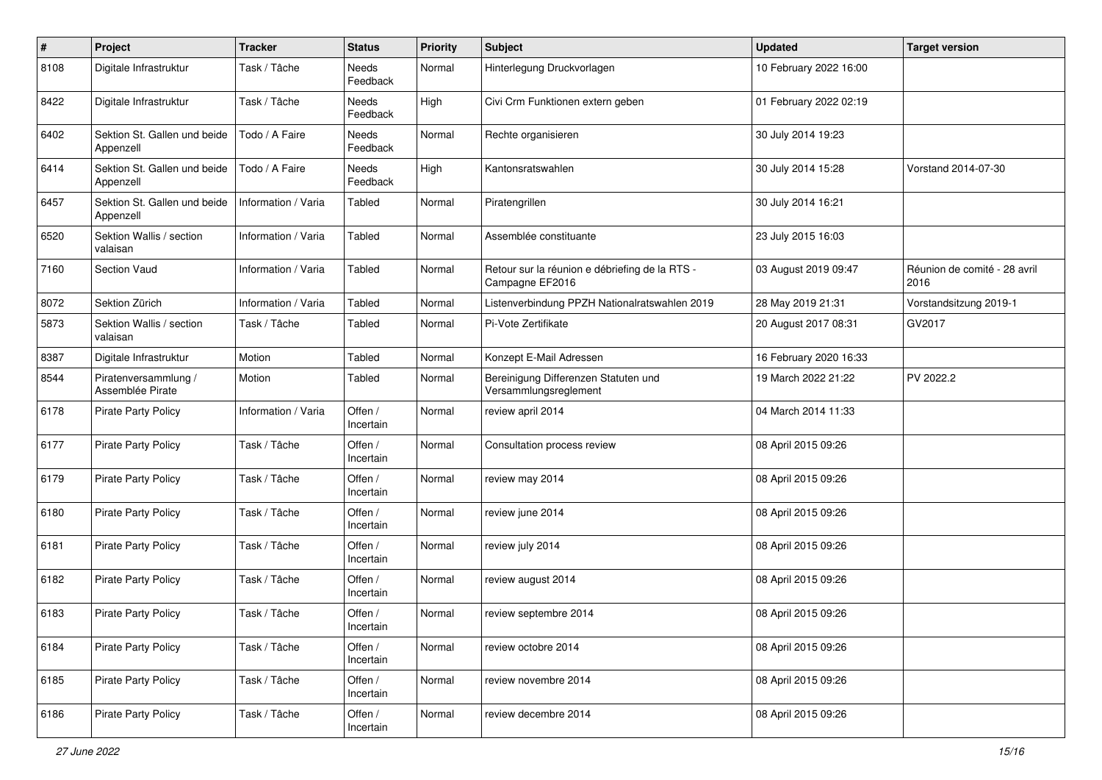| $\pmb{\#}$ | Project                                   | <b>Tracker</b>      | <b>Status</b>               | <b>Priority</b> | <b>Subject</b>                                                    | <b>Updated</b>         | <b>Target version</b>                |
|------------|-------------------------------------------|---------------------|-----------------------------|-----------------|-------------------------------------------------------------------|------------------------|--------------------------------------|
| 8108       | Digitale Infrastruktur                    | Task / Tâche        | Needs<br>Feedback           | Normal          | Hinterlegung Druckvorlagen                                        | 10 February 2022 16:00 |                                      |
| 8422       | Digitale Infrastruktur                    | Task / Tâche        | Needs<br>Feedback           | High            | Civi Crm Funktionen extern geben                                  | 01 February 2022 02:19 |                                      |
| 6402       | Sektion St. Gallen und beide<br>Appenzell | Todo / A Faire      | <b>Needs</b><br>Feedback    | Normal          | Rechte organisieren                                               | 30 July 2014 19:23     |                                      |
| 6414       | Sektion St. Gallen und beide<br>Appenzell | Todo / A Faire      | <b>Needs</b><br>Feedback    | High            | Kantonsratswahlen                                                 | 30 July 2014 15:28     | Vorstand 2014-07-30                  |
| 6457       | Sektion St. Gallen und beide<br>Appenzell | Information / Varia | Tabled                      | Normal          | Piratengrillen                                                    | 30 July 2014 16:21     |                                      |
| 6520       | Sektion Wallis / section<br>valaisan      | Information / Varia | Tabled                      | Normal          | Assemblée constituante                                            | 23 July 2015 16:03     |                                      |
| 7160       | Section Vaud                              | Information / Varia | Tabled                      | Normal          | Retour sur la réunion e débriefing de la RTS -<br>Campagne EF2016 | 03 August 2019 09:47   | Réunion de comité - 28 avril<br>2016 |
| 8072       | Sektion Zürich                            | Information / Varia | Tabled                      | Normal          | Listenverbindung PPZH Nationalratswahlen 2019                     | 28 May 2019 21:31      | Vorstandsitzung 2019-1               |
| 5873       | Sektion Wallis / section<br>valaisan      | Task / Tâche        | Tabled                      | Normal          | Pi-Vote Zertifikate                                               | 20 August 2017 08:31   | GV2017                               |
| 8387       | Digitale Infrastruktur                    | Motion              | Tabled                      | Normal          | Konzept E-Mail Adressen                                           | 16 February 2020 16:33 |                                      |
| 8544       | Piratenversammlung /<br>Assemblée Pirate  | Motion              | Tabled                      | Normal          | Bereinigung Differenzen Statuten und<br>Versammlungsreglement     | 19 March 2022 21:22    | PV 2022.2                            |
| 6178       | <b>Pirate Party Policy</b>                | Information / Varia | Offen /<br>Incertain        | Normal          | review april 2014                                                 | 04 March 2014 11:33    |                                      |
| 6177       | <b>Pirate Party Policy</b>                | Task / Tâche        | Offen /<br>Incertain        | Normal          | Consultation process review                                       | 08 April 2015 09:26    |                                      |
| 6179       | <b>Pirate Party Policy</b>                | Task / Tâche        | Offen /<br>Incertain        | Normal          | review may 2014                                                   | 08 April 2015 09:26    |                                      |
| 6180       | <b>Pirate Party Policy</b>                | Task / Tâche        | Offen /<br>Incertain        | Normal          | review june 2014                                                  | 08 April 2015 09:26    |                                      |
| 6181       | <b>Pirate Party Policy</b>                | Task / Tâche        | Offen /<br>Incertain        | Normal          | review july 2014                                                  | 08 April 2015 09:26    |                                      |
| 6182       | Pirate Party Policy                       | Task / Tâche        | Offen /<br>Incertain        | Normal          | review august 2014                                                | 08 April 2015 09:26    |                                      |
| 6183       | <b>Pirate Party Policy</b>                | Task / Tâche        | Offen /<br><b>Incertain</b> | Normal          | review septembre 2014                                             | 08 April 2015 09:26    |                                      |
| 6184       | <b>Pirate Party Policy</b>                | Task / Tâche        | Offen /<br>Incertain        | Normal          | review octobre 2014                                               | 08 April 2015 09:26    |                                      |
| 6185       | Pirate Party Policy                       | Task / Tâche        | Offen /<br>Incertain        | Normal          | review novembre 2014                                              | 08 April 2015 09:26    |                                      |
| 6186       | <b>Pirate Party Policy</b>                | Task / Tâche        | Offen /<br>Incertain        | Normal          | review decembre 2014                                              | 08 April 2015 09:26    |                                      |